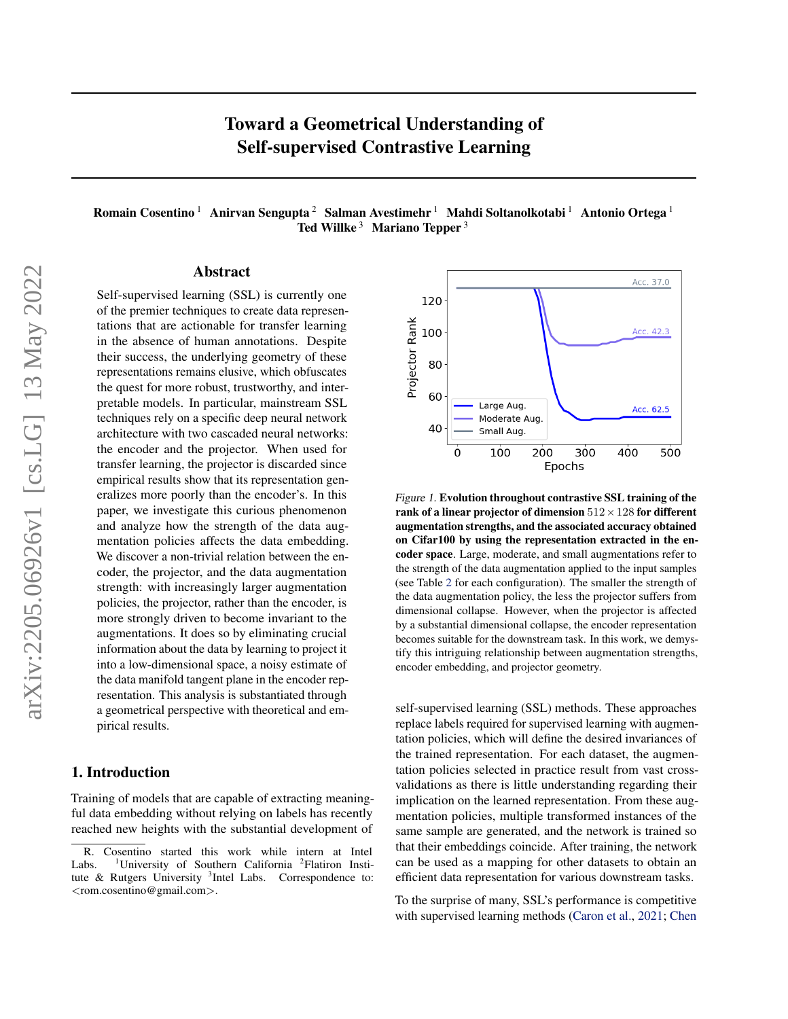# Toward a Geometrical Understanding of Self-supervised Contrastive Learning

Romain Cosentino<sup>1</sup> Anirvan Sengupta<sup>2</sup> Salman Avestimehr<sup>1</sup> Mahdi Soltanolkotabi<sup>1</sup> Antonio Ortega<sup>1</sup> Ted Willke<sup>3</sup> Mariano Tepper<sup>3</sup>

### Abstract

Self-supervised learning (SSL) is currently one of the premier techniques to create data representations that are actionable for transfer learning in the absence of human annotations. Despite their success, the underlying geometry of these representations remains elusive, which obfuscates the quest for more robust, trustworthy, and interpretable models. In particular, mainstream SSL techniques rely on a specific deep neural network architecture with two cascaded neural networks: the encoder and the projector. When used for transfer learning, the projector is discarded since empirical results show that its representation generalizes more poorly than the encoder's. In this paper, we investigate this curious phenomenon and analyze how the strength of the data augmentation policies affects the data embedding. We discover a non-trivial relation between the encoder, the projector, and the data augmentation strength: with increasingly larger augmentation policies, the projector, rather than the encoder, is more strongly driven to become invariant to the augmentations. It does so by eliminating crucial information about the data by learning to project it into a low-dimensional space, a noisy estimate of the data manifold tangent plane in the encoder representation. This analysis is substantiated through a geometrical perspective with theoretical and empirical results.

### 1. Introduction

Training of models that are capable of extracting meaningful data embedding without relying on labels has recently reached new heights with the substantial development of



<span id="page-0-0"></span>Figure 1. Evolution throughout contrastive SSL training of the rank of a linear projector of dimension  $512 \times 128$  for different augmentation strengths, and the associated accuracy obtained on Cifar100 by using the representation extracted in the encoder space. Large, moderate, and small augmentations refer to the strength of the data augmentation applied to the input samples (see Table [2](#page-2-0) for each configuration). The smaller the strength of the data augmentation policy, the less the projector suffers from dimensional collapse. However, when the projector is affected by a substantial dimensional collapse, the encoder representation becomes suitable for the downstream task. In this work, we demystify this intriguing relationship between augmentation strengths, encoder embedding, and projector geometry.

self-supervised learning (SSL) methods. These approaches replace labels required for supervised learning with augmentation policies, which will define the desired invariances of the trained representation. For each dataset, the augmentation policies selected in practice result from vast crossvalidations as there is little understanding regarding their implication on the learned representation. From these augmentation policies, multiple transformed instances of the same sample are generated, and the network is trained so that their embeddings coincide. After training, the network can be used as a mapping for other datasets to obtain an efficient data representation for various downstream tasks.

To the surprise of many, SSL's performance is competitive with supervised learning methods [\(Caron et al.,](#page-8-0) [2021;](#page-8-0) [Chen](#page-9-0)

R. Cosentino started this work while intern at Intel Labs. <sup>1</sup>University of Southern California <sup>2</sup>Flatiron Institute & Rutgers University <sup>3</sup>Intel Labs. Correspondence to: <rom.cosentino@gmail.com>.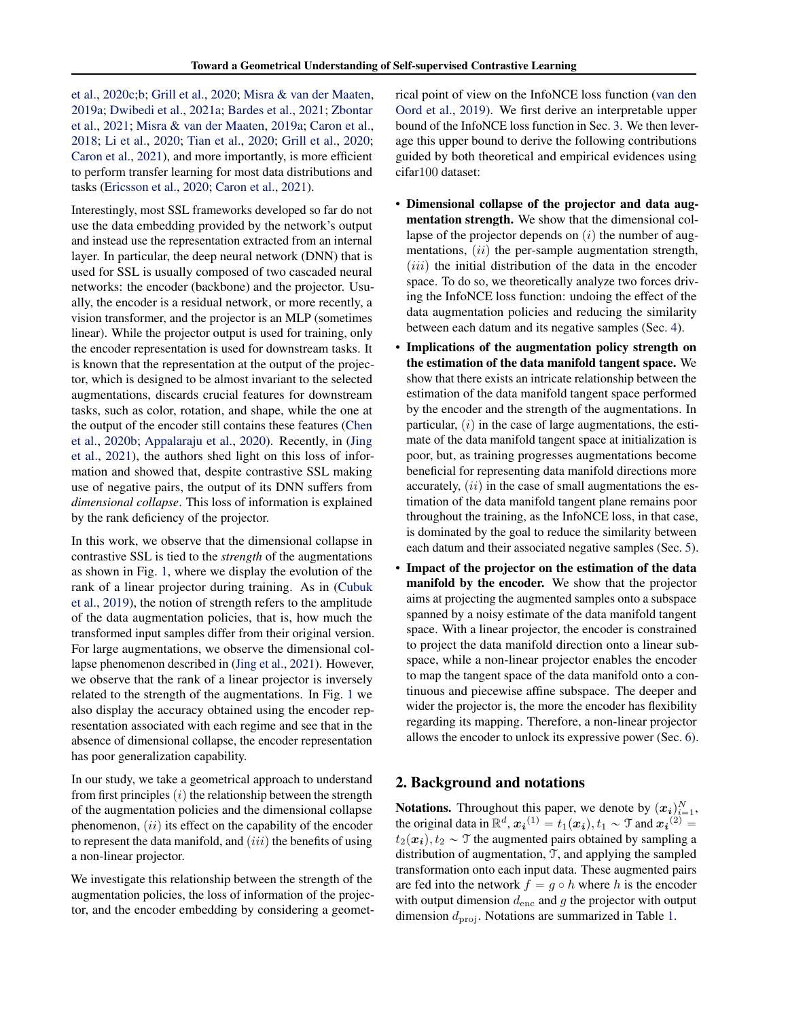[et al.,](#page-9-0) [2020c](#page-9-0)[;b;](#page-9-1) [Grill et al.,](#page-9-2) [2020;](#page-9-2) [Misra & van der Maaten,](#page-10-0) [2019a;](#page-10-0) [Dwibedi et al.,](#page-9-3) [2021a;](#page-9-3) [Bardes et al.,](#page-8-1) [2021;](#page-8-1) [Zbontar](#page-10-1) [et al.,](#page-10-1) [2021;](#page-10-1) [Misra & van der Maaten,](#page-10-0) [2019a;](#page-10-0) [Caron et al.,](#page-8-2) [2018;](#page-8-2) [Li et al.,](#page-10-2) [2020;](#page-10-2) [Tian et al.,](#page-10-3) [2020;](#page-10-3) [Grill et al.,](#page-9-2) [2020;](#page-9-2) [Caron et al.,](#page-8-0) [2021\)](#page-8-0), and more importantly, is more efficient to perform transfer learning for most data distributions and tasks [\(Ericsson et al.,](#page-9-4) [2020;](#page-9-4) [Caron et al.,](#page-8-0) [2021\)](#page-8-0).

Interestingly, most SSL frameworks developed so far do not use the data embedding provided by the network's output and instead use the representation extracted from an internal layer. In particular, the deep neural network (DNN) that is used for SSL is usually composed of two cascaded neural networks: the encoder (backbone) and the projector. Usually, the encoder is a residual network, or more recently, a vision transformer, and the projector is an MLP (sometimes linear). While the projector output is used for training, only the encoder representation is used for downstream tasks. It is known that the representation at the output of the projector, which is designed to be almost invariant to the selected augmentations, discards crucial features for downstream tasks, such as color, rotation, and shape, while the one at the output of the encoder still contains these features [\(Chen](#page-9-1) [et al.,](#page-9-1) [2020b;](#page-9-1) [Appalaraju et al.,](#page-8-3) [2020\)](#page-8-3). Recently, in [\(Jing](#page-9-5) [et al.,](#page-9-5) [2021\)](#page-9-5), the authors shed light on this loss of information and showed that, despite contrastive SSL making use of negative pairs, the output of its DNN suffers from *dimensional collapse*. This loss of information is explained by the rank deficiency of the projector.

In this work, we observe that the dimensional collapse in contrastive SSL is tied to the *strength* of the augmentations as shown in Fig. [1,](#page-0-0) where we display the evolution of the rank of a linear projector during training. As in [\(Cubuk](#page-9-6) [et al.,](#page-9-6) [2019\)](#page-9-6), the notion of strength refers to the amplitude of the data augmentation policies, that is, how much the transformed input samples differ from their original version. For large augmentations, we observe the dimensional collapse phenomenon described in [\(Jing et al.,](#page-9-5) [2021\)](#page-9-5). However, we observe that the rank of a linear projector is inversely related to the strength of the augmentations. In Fig. [1](#page-0-0) we also display the accuracy obtained using the encoder representation associated with each regime and see that in the absence of dimensional collapse, the encoder representation has poor generalization capability.

In our study, we take a geometrical approach to understand from first principles  $(i)$  the relationship between the strength of the augmentation policies and the dimensional collapse phenomenon,  $(ii)$  its effect on the capability of the encoder to represent the data manifold, and  $(iii)$  the benefits of using a non-linear projector.

We investigate this relationship between the strength of the augmentation policies, the loss of information of the projector, and the encoder embedding by considering a geometrical point of view on the InfoNCE loss function [\(van den](#page-10-4) [Oord et al.,](#page-10-4) [2019\)](#page-10-4). We first derive an interpretable upper bound of the InfoNCE loss function in Sec. [3.](#page-3-0) We then leverage this upper bound to derive the following contributions guided by both theoretical and empirical evidences using cifar100 dataset:

- Dimensional collapse of the projector and data augmentation strength. We show that the dimensional collapse of the projector depends on  $(i)$  the number of augmentations,  $(ii)$  the per-sample augmentation strength,  $(iii)$  the initial distribution of the data in the encoder space. To do so, we theoretically analyze two forces driving the InfoNCE loss function: undoing the effect of the data augmentation policies and reducing the similarity between each datum and its negative samples (Sec. [4\)](#page-3-1).
- Implications of the augmentation policy strength on the estimation of the data manifold tangent space. We show that there exists an intricate relationship between the estimation of the data manifold tangent space performed by the encoder and the strength of the augmentations. In particular,  $(i)$  in the case of large augmentations, the estimate of the data manifold tangent space at initialization is poor, but, as training progresses augmentations become beneficial for representing data manifold directions more accurately,  $(ii)$  in the case of small augmentations the estimation of the data manifold tangent plane remains poor throughout the training, as the InfoNCE loss, in that case, is dominated by the goal to reduce the similarity between each datum and their associated negative samples (Sec. [5\)](#page-5-0).
- Impact of the projector on the estimation of the data manifold by the encoder. We show that the projector aims at projecting the augmented samples onto a subspace spanned by a noisy estimate of the data manifold tangent space. With a linear projector, the encoder is constrained to project the data manifold direction onto a linear subspace, while a non-linear projector enables the encoder to map the tangent space of the data manifold onto a continuous and piecewise affine subspace. The deeper and wider the projector is, the more the encoder has flexibility regarding its mapping. Therefore, a non-linear projector allows the encoder to unlock its expressive power (Sec. [6\)](#page-6-0).

### 2. Background and notations

**Notations.** Throughout this paper, we denote by  $(x_i)_{i=1}^N$ , the original data in  $\mathbb{R}^d$ ,  $x_i$ <sup>(1)</sup> =  $t_1(x_i)$ ,  $t_1 \sim \mathcal{T}$  and  $x_i$ <sup>(2)</sup> =  $t_2(x_i)$ ,  $t_2 \sim \mathcal{T}$  the augmented pairs obtained by sampling a distribution of augmentation, T, and applying the sampled transformation onto each input data. These augmented pairs are fed into the network  $f = g \circ h$  where h is the encoder with output dimension  $d_{\text{enc}}$  and g the projector with output dimension  $d_{\text{proj}}$ . Notations are summarized in Table [1.](#page-2-1)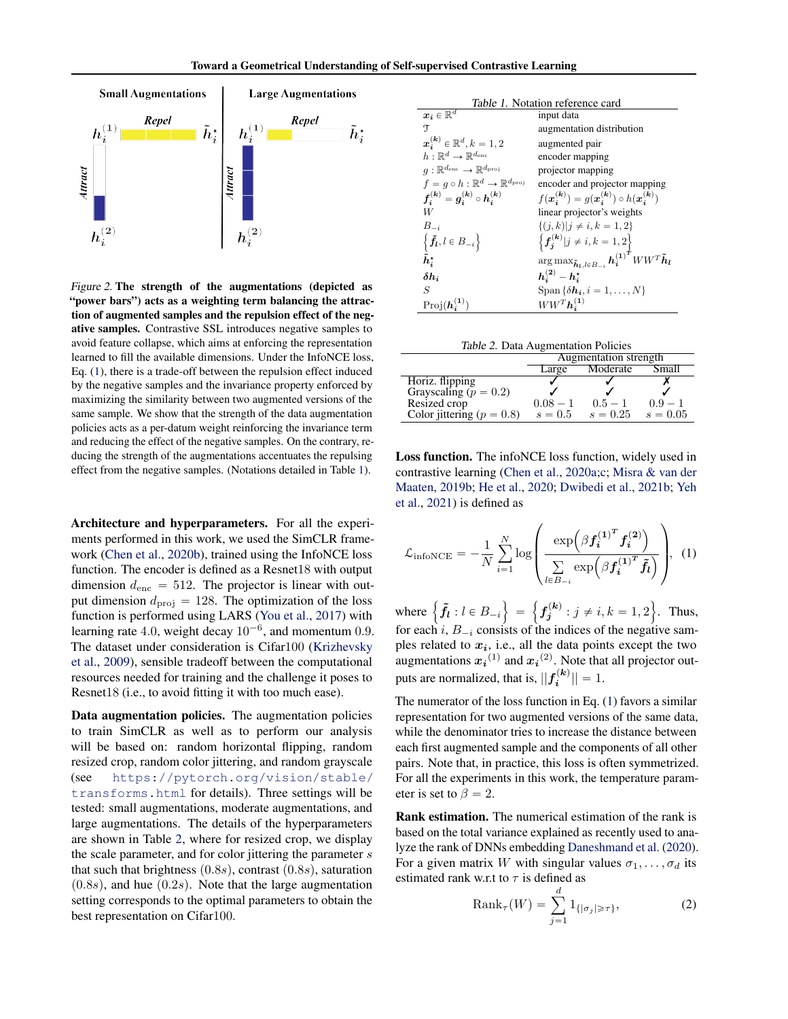

<span id="page-2-3"></span>Figure 2. The strength of the augmentations (depicted as "power bars") acts as a weighting term balancing the attraction of augmented samples and the repulsion effect of the negative samples. Contrastive SSL introduces negative samples to avoid feature collapse, which aims at enforcing the representation learned to fill the available dimensions. Under the InfoNCE loss, Eq. [\(1\)](#page-2-2), there is a trade-off between the repulsion effect induced by the negative samples and the invariance property enforced by maximizing the similarity between two augmented versions of the same sample. We show that the strength of the data augmentation policies acts as a per-datum weight reinforcing the invariance term and reducing the effect of the negative samples. On the contrary, reducing the strength of the augmentations accentuates the repulsing effect from the negative samples. (Notations detailed in Table [1\)](#page-2-1).

Architecture and hyperparameters. For all the experiments performed in this work, we used the SimCLR framework [\(Chen et al.,](#page-9-1) [2020b\)](#page-9-1), trained using the InfoNCE loss function. The encoder is defined as a Resnet18 with output dimension  $d_{\text{enc}} = 512$ . The projector is linear with output dimension  $d_{\text{proj}} = 128$ . The optimization of the loss function is performed using LARS [\(You et al.,](#page-10-5) [2017\)](#page-10-5) with learning rate 4.0, weight decay  $10^{-6}$ , and momentum 0.9. The dataset under consideration is Cifar100 [\(Krizhevsky](#page-9-7) [et al.,](#page-9-7) [2009\)](#page-9-7), sensible tradeoff between the computational resources needed for training and the challenge it poses to Resnet18 (i.e., to avoid fitting it with too much ease).

Data augmentation policies. The augmentation policies to train SimCLR as well as to perform our analysis will be based on: random horizontal flipping, random resized crop, random color jittering, and random grayscale (see [https://pytorch.org/vision/stable/](https://pytorch.org/vision/stable/transforms.html) [transforms.html](https://pytorch.org/vision/stable/transforms.html) for details). Three settings will be tested: small augmentations, moderate augmentations, and large augmentations. The details of the hyperparameters are shown in Table [2,](#page-2-0) where for resized crop, we display the scale parameter, and for color jittering the parameter  $s$ that such that brightness  $(0.8s)$ , contrast  $(0.8s)$ , saturation  $(0.8s)$ , and hue  $(0.2s)$ . Note that the large augmentation setting corresponds to the optimal parameters to obtain the best representation on Cifar100.

<span id="page-2-1"></span>

| <i>Table 1.</i> Notation reference card                           |                                                                                                          |  |  |  |  |
|-------------------------------------------------------------------|----------------------------------------------------------------------------------------------------------|--|--|--|--|
| $\boldsymbol{x_i} \in \overline{\mathbb{R}^d}$                    | input data                                                                                               |  |  |  |  |
| T                                                                 | augmentation distribution                                                                                |  |  |  |  |
| $x_i^{(k)} \in \mathbb{R}^d, k = 1, 2$                            | augmented pair                                                                                           |  |  |  |  |
| $h\cdot \mathbb{R}^d \to \mathbb{R}^{d_{\text{enc}}}$             | encoder mapping                                                                                          |  |  |  |  |
| $q: \mathbb{R}^{d_{\text{enc}}} \to \mathbb{R}^{d_{\text{proj}}}$ | projector mapping                                                                                        |  |  |  |  |
| $f = q \circ h : \mathbb{R}^d \to \mathbb{R}^{d_{\text{proj}}}$   | encoder and projector mapping                                                                            |  |  |  |  |
| $f_i^{(k)} = g_i^{(k)} \circ h_i^{(k)}$                           | $f(\bm{x}_i^{(k)}) = q(\bm{x}_i^{(k)}) \circ h(\bm{x}_i^{(k)})$                                          |  |  |  |  |
| W                                                                 | linear projector's weights                                                                               |  |  |  |  |
| $B_{-i}$                                                          | $\{(i,k) j\neq i,k=1,2\}$                                                                                |  |  |  |  |
| $\left\{ \tilde{\mathbf{f}}_{l},l\in B_{-i}\right\}$              | $\left\{ {\bm{f_j^{(k)}} j \ne i,k = 1,2} \right\}$                                                      |  |  |  |  |
| $\tilde{h}^\star_i$                                               | $\arg\max_{\pmb{\tilde{h}}_l,l\in B_{-i}}\pmb{h_i^{(1)}}^{\vec{\boldsymbol{\tau}}}WW^T\pmb{\tilde{h}}_l$ |  |  |  |  |
| $\delta h_i$                                                      | $h_i^{(2)} - h_i^*$                                                                                      |  |  |  |  |
| S                                                                 | Span $\{\delta h_i, i = 1, \ldots, N\}$                                                                  |  |  |  |  |
| $Proj(\boldsymbol{h}_i^{(1)})$                                    | $WW^T\boldsymbol{h}^{(1)}_*$                                                                             |  |  |  |  |

<span id="page-2-0"></span>

|                               | Augmentation strength |            |            |  |  |
|-------------------------------|-----------------------|------------|------------|--|--|
|                               | Large                 | Moderate   | Small      |  |  |
| Horiz. flipping               |                       |            |            |  |  |
| Grayscaling ( $p = 0.2$ )     |                       |            |            |  |  |
| Resized crop                  | $0.08 - 1$            | $0.5 - 1$  | $0.9 - 1$  |  |  |
| Color jittering ( $p = 0.8$ ) | $s=0.5$               | $s = 0.25$ | $s = 0.05$ |  |  |

Loss function. The infoNCE loss function, widely used in contrastive learning [\(Chen et al.,](#page-9-8) [2020a;](#page-9-8)[c;](#page-9-0) [Misra & van der](#page-10-6) [Maaten,](#page-10-6) [2019b;](#page-10-6) [He et al.,](#page-9-9) [2020;](#page-9-9) [Dwibedi et al.,](#page-9-10) [2021b;](#page-9-10) [Yeh](#page-10-7) [et al.,](#page-10-7) [2021\)](#page-10-7) is defined as

<span id="page-2-2"></span>
$$
\mathcal{L}_{\text{infoNCE}} = -\frac{1}{N} \sum_{i=1}^{N} \log \left( \frac{\exp \left( \beta f_i^{(1)^T} f_i^{(2)} \right)}{\sum_{l \in B_{-i}} \exp \left( \beta f_i^{(1)^T} \tilde{f}_l \right)} \right), \quad (1)
$$

where  $\left\{ \tilde{f}_l : l \in B_{-i} \right\}$  $=$  $f_j^{(k)}: j \neq i, k = 1, 2$ . Thus, for each i,  $B_{-i}$  consists of the indices of the negative samples related to  $x_i$ , i.e., all the data points except the two augmentations  $x_i^{(1)}$  and  $x_i^{(2)}$ . Note that all projector outputs are normalized, that is,  $||f_i^{(k)}|| = 1$ .

The numerator of the loss function in Eq. [\(1\)](#page-2-2) favors a similar representation for two augmented versions of the same data, while the denominator tries to increase the distance between each first augmented sample and the components of all other pairs. Note that, in practice, this loss is often symmetrized. For all the experiments in this work, the temperature parameter is set to  $\beta = 2$ .

Rank estimation. The numerical estimation of the rank is based on the total variance explained as recently used to analyze the rank of DNNs embedding [Daneshmand et al.](#page-9-11) [\(2020\)](#page-9-11). For a given matrix W with singular values  $\sigma_1, \ldots, \sigma_d$  its estimated rank w.r.t to  $\tau$  is defined as

<span id="page-2-4"></span>
$$
\text{Rank}_{\tau}(W) = \sum_{j=1}^d 1_{\{|\sigma_j| \ge \tau\}},\tag{2}
$$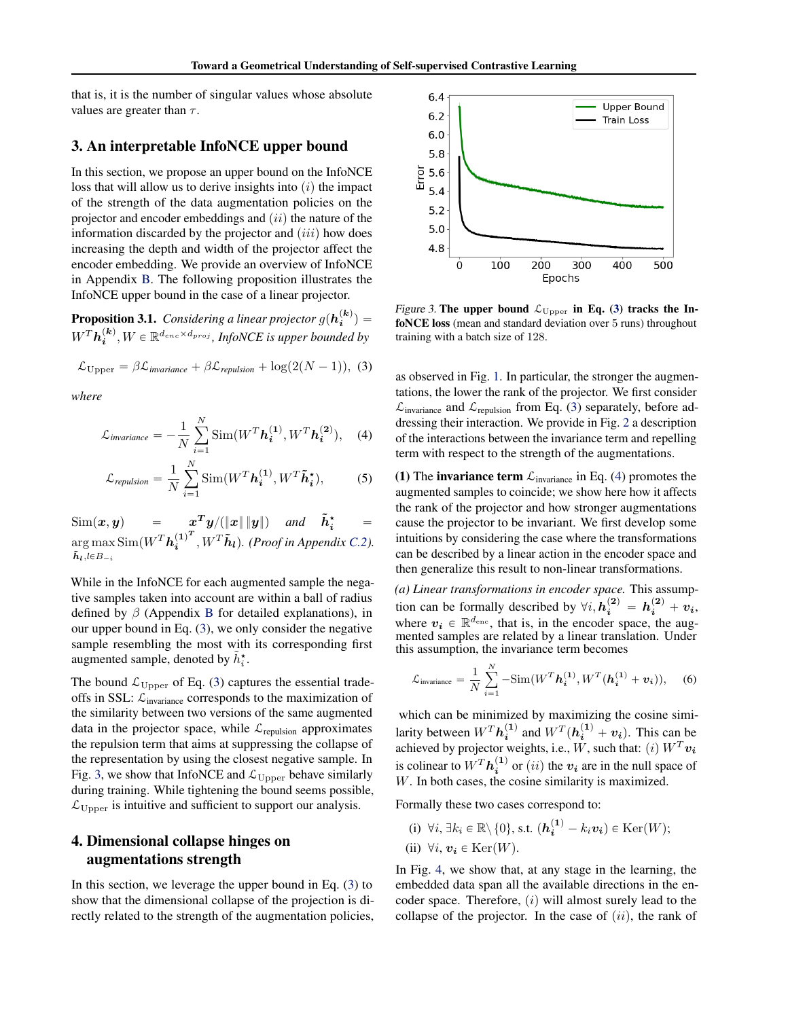that is, it is the number of singular values whose absolute values are greater than  $\tau$ .

### <span id="page-3-0"></span>3. An interpretable InfoNCE upper bound

In this section, we propose an upper bound on the InfoNCE loss that will allow us to derive insights into  $(i)$  the impact of the strength of the data augmentation policies on the projector and encoder embeddings and  $(ii)$  the nature of the information discarded by the projector and  $(iii)$  how does increasing the depth and width of the projector affect the encoder embedding. We provide an overview of InfoNCE in Appendix [B.](#page-11-0) The following proposition illustrates the InfoNCE upper bound in the case of a linear projector.

<span id="page-3-7"></span>**Proposition 3.1.** Considering a linear projector  $g(h_i^{(k)})$  =  $W^T \boldsymbol{h_i^{(k)}} , W \in \mathbb{R}^{d_{enc} \times d_{proj} }$ *, InfoNCE is upper bounded by* 

$$
\mathcal{L}_{\text{Upper}} = \beta \mathcal{L}_{\text{invariance}} + \beta \mathcal{L}_{\text{repulsion}} + \log(2(N-1)), \text{ (3)}
$$

*where*

$$
\mathcal{L}_{invariance} = -\frac{1}{N} \sum_{i=1}^{N} \text{Sim}(W^{T} \boldsymbol{h}_{i}^{(1)}, W^{T} \boldsymbol{h}_{i}^{(2)}), \quad (4)
$$

$$
\mathcal{L}_{repulsion} = \frac{1}{N} \sum_{i=1}^{N} \text{Sim}(W^{T} \boldsymbol{h}_{i}^{(1)}, W^{T} \tilde{\boldsymbol{h}}_{i}^{\star}),
$$
 (5)

 $\text{Sim}(\boldsymbol{x}, \boldsymbol{y})$  =  $\boldsymbol{x}^T \boldsymbol{y}/(\|\boldsymbol{x}\| \|\boldsymbol{y}\|)$  and  $\boldsymbol{\tilde{h}}_i^\star$  =  $\argmax \text{Sim}(W^T \boldsymbol h_{\boldsymbol i}^{(1)^T}$  $\tilde{\boldsymbol{h}}_l$ ,le $B_{-i}$  $\tilde{h}_i^{(1)^T}$ ,  $W^T \tilde{h}_l$ ). (Proof in Appendix [C.2\)](#page-12-0).

While in the InfoNCE for each augmented sample the negative samples taken into account are within a ball of radius defined by  $\beta$  (Appendix [B](#page-11-0) for detailed explanations), in our upper bound in Eq. [\(3\)](#page-3-2), we only consider the negative sample resembling the most with its corresponding first augmented sample, denoted by  $\tilde{h}_i^*$ .

The bound  $\mathcal{L}_{\text{Upper}}$  of Eq. [\(3\)](#page-3-2) captures the essential tradeoffs in SSL:  $\mathcal{L}_{invariance}$  corresponds to the maximization of the similarity between two versions of the same augmented data in the projector space, while  $\mathcal{L}_{\text{repulsion}}$  approximates the repulsion term that aims at suppressing the collapse of the representation by using the closest negative sample. In Fig. [3,](#page-3-3) we show that InfoNCE and  $\mathcal{L}_{\text{Upper}}$  behave similarly during training. While tightening the bound seems possible,  $\mathcal{L}_{\text{Upper}}$  is intuitive and sufficient to support our analysis.

# <span id="page-3-1"></span>4. Dimensional collapse hinges on augmentations strength

In this section, we leverage the upper bound in Eq. [\(3\)](#page-3-2) to show that the dimensional collapse of the projection is directly related to the strength of the augmentation policies,



<span id="page-3-3"></span><span id="page-3-2"></span>Figure 3. The upper bound  $\mathcal{L}_{\text{Upper}}$  in Eq. [\(3\)](#page-3-2) tracks the InfoNCE loss (mean and standard deviation over 5 runs) throughout training with a batch size of 128.

<span id="page-3-4"></span>as observed in Fig. [1.](#page-0-0) In particular, the stronger the augmentations, the lower the rank of the projector. We first consider  $\mathcal{L}_{\text{invariance}}$  and  $\mathcal{L}_{\text{repulsion}}$  from Eq. [\(3\)](#page-3-2) separately, before addressing their interaction. We provide in Fig. [2](#page-2-3) a description of the interactions between the invariance term and repelling term with respect to the strength of the augmentations.

<span id="page-3-6"></span>(1) The invariance term  $\mathcal{L}_{\text{invariance}}$  in Eq. [\(4\)](#page-3-4) promotes the augmented samples to coincide; we show here how it affects the rank of the projector and how stronger augmentations cause the projector to be invariant. We first develop some intuitions by considering the case where the transformations can be described by a linear action in the encoder space and then generalize this result to non-linear transformations.

*(a) Linear transformations in encoder space.* This assumption can be formally described by  $\forall i, h_i^{(2)} = h_i^{(2)} + v_i$ , where  $v_i \in \mathbb{R}^{d_{\text{enc}}}$ , that is, in the encoder space, the augmented samples are related by a linear translation. Under this assumption, the invariance term becomes

<span id="page-3-5"></span>
$$
\mathcal{L}_{\text{invariance}} = \frac{1}{N} \sum_{i=1}^{N} -\text{Sim}(W^{T} \boldsymbol{h}_{i}^{(1)}, W^{T} (\boldsymbol{h}_{i}^{(1)} + \boldsymbol{v}_{i})), \quad (6)
$$

which can be minimized by maximizing the cosine similarity between  $W^T h_i^{(1)}$  and  $W^T (h_i^{(1)} + v_i)$ . This can be achieved by projector weights, i.e., W, such that: (*i*)  $W^T v_i$ is colinear to  $W^T h_i^{(1)}$  or  $(ii)$  the  $v_i$  are in the null space of W. In both cases, the cosine similarity is maximized.

Formally these two cases correspond to:

(i)  $\forall i, \exists k_i \in \mathbb{R} \setminus \{0\}$ , s.t.  $(h_i^{(1)} - k_i v_i) \in \text{Ker}(W)$ ; (ii)  $\forall i, v_i \in \text{Ker}(W)$ .

In Fig. [4,](#page-4-0) we show that, at any stage in the learning, the embedded data span all the available directions in the encoder space. Therefore,  $(i)$  will almost surely lead to the collapse of the projector. In the case of  $(ii)$ , the rank of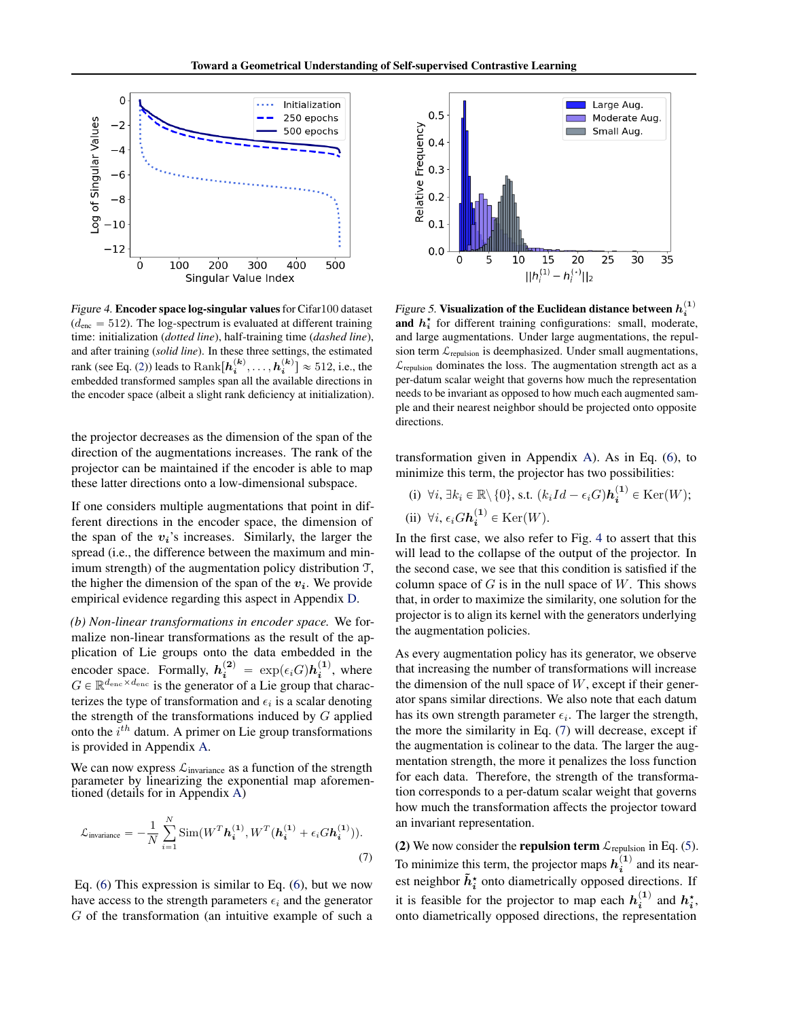

Figure 4. Encoder space log-singular values for Cifar100 dataset  $(d_{\text{enc}} = 512)$ . The log-spectrum is evaluated at different training time: initialization (*dotted line*), half-training time (*dashed line*), and after training (*solid line*). In these three settings, the estimated rank (see Eq. [\(2\)](#page-2-4)) leads to  $\text{Rank}[\boldsymbol{h_i^{(k)}}, \dots, \boldsymbol{h_i^{(k)}}] \approx 512, \text{i.e., the}$ embedded transformed samples span all the available directions in the encoder space (albeit a slight rank deficiency at initialization).

the projector decreases as the dimension of the span of the direction of the augmentations increases. The rank of the projector can be maintained if the encoder is able to map these latter directions onto a low-dimensional subspace.

If one considers multiple augmentations that point in different directions in the encoder space, the dimension of the span of the  $v_i$ 's increases. Similarly, the larger the spread (i.e., the difference between the maximum and minimum strength) of the augmentation policy distribution T, the higher the dimension of the span of the  $v_i$ . We provide empirical evidence regarding this aspect in Appendix [D.](#page-13-0)

*(b) Non-linear transformations in encoder space.* We formalize non-linear transformations as the result of the application of Lie groups onto the data embedded in the encoder space. Formally,  $h_i^{(2)} = \exp(\epsilon_i G) h_i^{(1)}$ , where  $G \in \mathbb{R}^{d_{\mathrm{enc}} \times d_{\mathrm{enc}}}$  is the generator of a Lie group that characterizes the type of transformation and  $\epsilon_i$  is a scalar denoting the strength of the transformations induced by  $G$  applied onto the  $i^{th}$  datum. A primer on Lie group transformations is provided in Appendix [A.](#page-11-1)

We can now express  $\mathcal{L}_{\text{invariance}}$  as a function of the strength parameter by linearizing the exponential map aforementioned (details for in Appendix [A\)](#page-11-1)

$$
\mathcal{L}_{\text{invariance}} = -\frac{1}{N} \sum_{i=1}^{N} \text{Sim}(W^{T} \boldsymbol{h}_{i}^{(1)}, W^{T} (\boldsymbol{h}_{i}^{(1)} + \epsilon_{i} G \boldsymbol{h}_{i}^{(1)})).
$$
\n(7)

Eq. [\(6\)](#page-3-5) This expression is similar to Eq. [\(6\)](#page-3-5), but we now have access to the strength parameters  $\epsilon_i$  and the generator G of the transformation (an intuitive example of such a



<span id="page-4-2"></span><span id="page-4-0"></span>Figure 5. Visualization of the Euclidean distance between  $h_i^{(1)}$ and  $h_i^*$  for different training configurations: small, moderate, and large augmentations. Under large augmentations, the repulsion term  $\mathcal{L}_{\text{repulsion}}$  is deemphasized. Under small augmentations,  $\mathcal{L}_{\text{repulsion}}$  dominates the loss. The augmentation strength act as a per-datum scalar weight that governs how much the representation needs to be invariant as opposed to how much each augmented sample and their nearest neighbor should be projected onto opposite directions.

transformation given in Appendix [A\)](#page-11-1). As in Eq. [\(6\)](#page-3-5), to minimize this term, the projector has two possibilities:

(i) 
$$
\forall i, \exists k_i \in \mathbb{R} \setminus \{0\}, \text{ s.t. } (k_iId - \epsilon_i G)\mathbf{h_i}^{(1)} \in \text{Ker}(W);
$$
  
(ii)  $\forall i, \epsilon_i G\mathbf{h_i}^{(1)} \in \text{Ker}(W).$ 

In the first case, we also refer to Fig. [4](#page-4-0) to assert that this will lead to the collapse of the output of the projector. In the second case, we see that this condition is satisfied if the column space of  $G$  is in the null space of  $W$ . This shows that, in order to maximize the similarity, one solution for the projector is to align its kernel with the generators underlying the augmentation policies.

As every augmentation policy has its generator, we observe that increasing the number of transformations will increase the dimension of the null space of  $W$ , except if their generator spans similar directions. We also note that each datum has its own strength parameter  $\epsilon_i$ . The larger the strength, the more the similarity in Eq. [\(7\)](#page-4-1) will decrease, except if the augmentation is colinear to the data. The larger the augmentation strength, the more it penalizes the loss function for each data. Therefore, the strength of the transformation corresponds to a per-datum scalar weight that governs how much the transformation affects the projector toward an invariant representation.

<span id="page-4-1"></span>(2) We now consider the **repulsion term**  $\mathcal{L}_{\text{repulsion}}$  in Eq. [\(5\)](#page-3-6). To minimize this term, the projector maps  $h_i^{(1)}$  and its nearest neighbor  $\tilde{h}_i^{\star}$  onto diametrically opposed directions. If it is feasible for the projector to map each  $h_i^{(1)}$  and  $h_i^*$ , onto diametrically opposed directions, the representation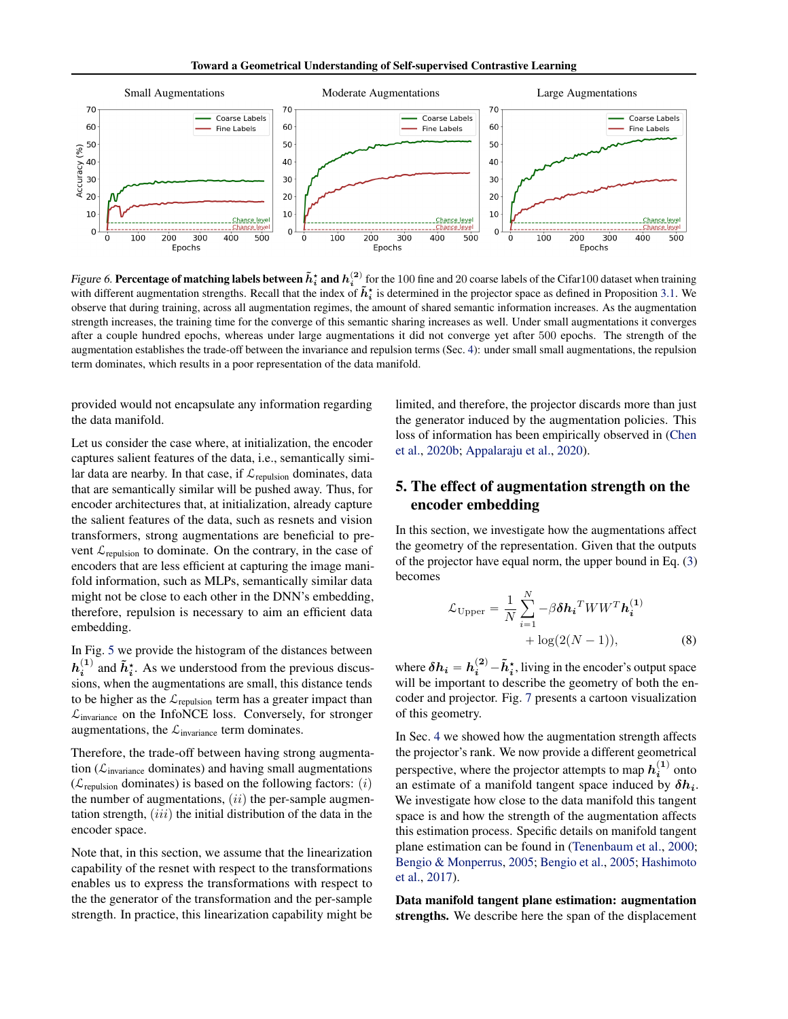

Figure 6. Percentage of matching labels between  $\tilde{h}_i^*$  and  $h_i^{(2)}$  for the 100 fine and 20 coarse labels of the Cifar100 dataset when training with different augmentation strengths. Recall that the index of  $\tilde{h}_i^*$  is determined in the projector space as defined in Proposition [3.1.](#page-3-7) We observe that during training, across all augmentation regimes, the amount of shared semantic information increases. As the augmentation strength increases, the training time for the converge of this semantic sharing increases as well. Under small augmentations it converges after a couple hundred epochs, whereas under large augmentations it did not converge yet after 500 epochs. The strength of the augmentation establishes the trade-off between the invariance and repulsion terms (Sec. [4\)](#page-3-1): under small small augmentations, the repulsion term dominates, which results in a poor representation of the data manifold.

provided would not encapsulate any information regarding the data manifold.

Let us consider the case where, at initialization, the encoder captures salient features of the data, i.e., semantically similar data are nearby. In that case, if  $\mathcal{L}_{repulsion}$  dominates, data that are semantically similar will be pushed away. Thus, for encoder architectures that, at initialization, already capture the salient features of the data, such as resnets and vision transformers, strong augmentations are beneficial to prevent  $\mathcal{L}_{repulsion}$  to dominate. On the contrary, in the case of encoders that are less efficient at capturing the image manifold information, such as MLPs, semantically similar data might not be close to each other in the DNN's embedding, therefore, repulsion is necessary to aim an efficient data embedding.

In Fig. [5](#page-4-2) we provide the histogram of the distances between  $h_i^{(1)}$  and  $\tilde{h}_i^*$ . As we understood from the previous discussions, when the augmentations are small, this distance tends to be higher as the  $\mathcal{L}_{\text{repulsion}}$  term has a greater impact than  $\mathcal{L}_{\text{invariance}}$  on the InfoNCE loss. Conversely, for stronger augmentations, the  $\mathcal{L}_{invariance}$  term dominates.

Therefore, the trade-off between having strong augmentation ( $\mathcal{L}_{\text{invariance}}$  dominates) and having small augmentations ( $\mathcal{L}_{\text{remulsion}}$  dominates) is based on the following factors: *(i)* the number of augmentations,  $(ii)$  the per-sample augmentation strength,  $(iii)$  the initial distribution of the data in the encoder space.

Note that, in this section, we assume that the linearization capability of the resnet with respect to the transformations enables us to express the transformations with respect to the the generator of the transformation and the per-sample strength. In practice, this linearization capability might be <span id="page-5-1"></span>limited, and therefore, the projector discards more than just the generator induced by the augmentation policies. This loss of information has been empirically observed in [\(Chen](#page-9-1) [et al.,](#page-9-1) [2020b;](#page-9-1) [Appalaraju et al.,](#page-8-3) [2020\)](#page-8-3).

# <span id="page-5-0"></span>5. The effect of augmentation strength on the encoder embedding

In this section, we investigate how the augmentations affect the geometry of the representation. Given that the outputs of the projector have equal norm, the upper bound in Eq. [\(3\)](#page-3-2) becomes

<span id="page-5-2"></span>
$$
\mathcal{L}_{\text{Upper}} = \frac{1}{N} \sum_{i=1}^{N} -\beta \delta \mathbf{h_i}^T W W^T \mathbf{h_i^{(1)}} + \log(2(N-1)),
$$
\n(8)

where  $\delta h_i = h_i^{(2)} - \tilde{h}_i^*$ , living in the encoder's output space will be important to describe the geometry of both the encoder and projector. Fig. [7](#page-6-1) presents a cartoon visualization of this geometry.

In Sec. [4](#page-3-1) we showed how the augmentation strength affects the projector's rank. We now provide a different geometrical perspective, where the projector attempts to map  $h_i^{(1)}$  onto an estimate of a manifold tangent space induced by  $\delta h_i$ . We investigate how close to the data manifold this tangent space is and how the strength of the augmentation affects this estimation process. Specific details on manifold tangent plane estimation can be found in [\(Tenenbaum et al.,](#page-10-8) [2000;](#page-10-8) [Bengio & Monperrus,](#page-8-4) [2005;](#page-8-4) [Bengio et al.,](#page-8-5) [2005;](#page-8-5) [Hashimoto](#page-9-12) [et al.,](#page-9-12) [2017\)](#page-9-12).

Data manifold tangent plane estimation: augmentation strengths. We describe here the span of the displacement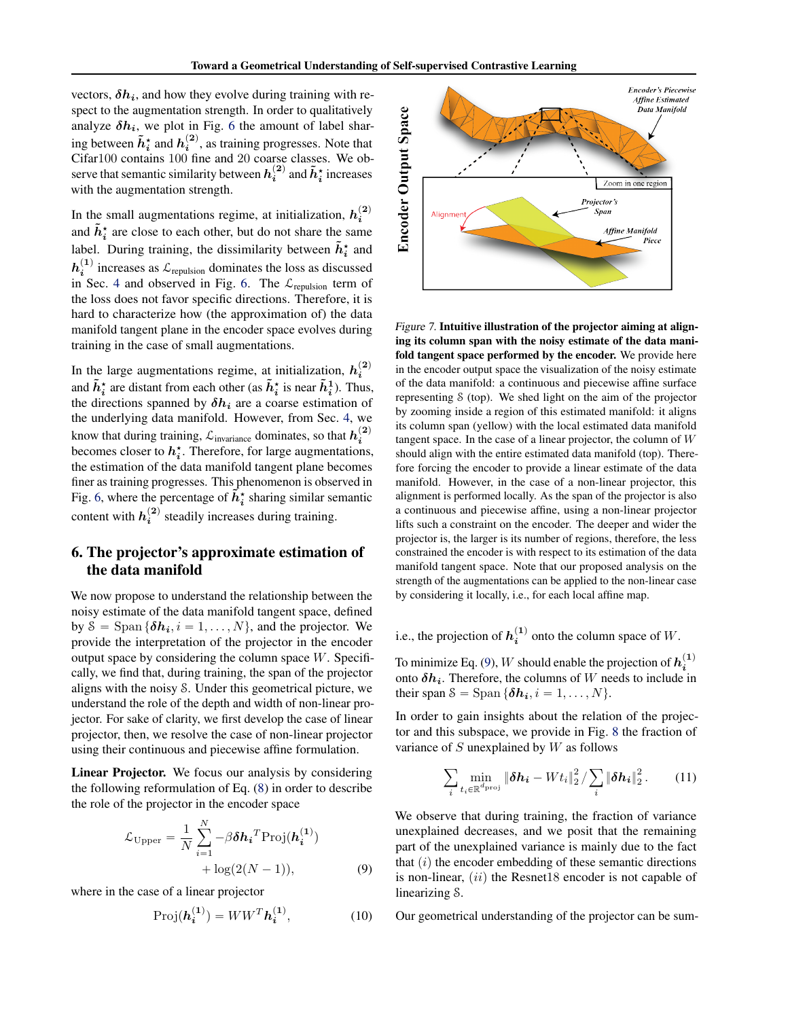vectors,  $\delta h_i$ , and how they evolve during training with respect to the augmentation strength. In order to qualitatively analyze  $\delta h_i$ , we plot in Fig. [6](#page-5-1) the amount of label sharing between  $\tilde{h}_i^*$  and  $h_i^{(2)}$ , as training progresses. Note that Cifar100 contains 100 fine and 20 coarse classes. We observe that semantic similarity between  $h_i^{(2)}$  and  $\tilde{h}_i^*$  increases with the augmentation strength.

In the small augmentations regime, at initialization,  $h_i^{(2)}$ and  $\tilde{h}_i^*$  are close to each other, but do not share the same label. During training, the dissimilarity between  $\tilde{h}_i^{\star}$  and  $h_i^{(1)}$  increases as  $\mathcal{L}_{\text{repulsion}}$  dominates the loss as discussed in Sec. [4](#page-3-1) and observed in Fig. [6.](#page-5-1) The  $\mathcal{L}_{\text{reclusion}}$  term of the loss does not favor specific directions. Therefore, it is hard to characterize how (the approximation of) the data manifold tangent plane in the encoder space evolves during training in the case of small augmentations.

In the large augmentations regime, at initialization,  $h_i^{(2)}$ and  $\tilde{h}_i^*$  are distant from each other (as  $\tilde{h}_i^*$  is near  $\tilde{h}_i^1$ ). Thus, the directions spanned by  $\delta h_i$  are a coarse estimation of the underlying data manifold. However, from Sec. [4,](#page-3-1) we know that during training,  $\mathcal{L}_{\text{invariance}}$  dominates, so that  $h_i^{(2)}$  becomes closer to  $h_i^*$ . Therefore, for large augmentations, the estimation of the data manifold tangent plane becomes finer as training progresses. This phenomenon is observed in Fig. [6,](#page-5-1) where the percentage of  $\tilde{h}_i^*$  sharing similar semantic content with  $h_i^{(2)}$  steadily increases during training.

# <span id="page-6-0"></span>6. The projector's approximate estimation of the data manifold

We now propose to understand the relationship between the noisy estimate of the data manifold tangent space, defined by  $S = \text{Span} \{\delta h_i, i = 1, ..., N\}$ , and the projector. We provide the interpretation of the projector in the encoder output space by considering the column space  $W$ . Specifically, we find that, during training, the span of the projector aligns with the noisy S. Under this geometrical picture, we understand the role of the depth and width of non-linear projector. For sake of clarity, we first develop the case of linear projector, then, we resolve the case of non-linear projector using their continuous and piecewise affine formulation.

Linear Projector. We focus our analysis by considering the following reformulation of Eq. [\(8\)](#page-5-2) in order to describe the role of the projector in the encoder space

$$
\mathcal{L}_{\text{Upper}} = \frac{1}{N} \sum_{i=1}^{N} -\beta \delta \mathbf{h_i}^T \text{Proj}(\mathbf{h_i^{(1)}}) + \log(2(N-1)),
$$
\n(9)

where in the case of a linear projector

$$
\text{Proj}(\boldsymbol{h}_i^{(1)}) = WW^T \boldsymbol{h}_i^{(1)},\tag{10}
$$



<span id="page-6-1"></span>Figure 7. Intuitive illustration of the projector aiming at aligning its column span with the noisy estimate of the data manifold tangent space performed by the encoder. We provide here in the encoder output space the visualization of the noisy estimate of the data manifold: a continuous and piecewise affine surface representing S (top). We shed light on the aim of the projector by zooming inside a region of this estimated manifold: it aligns its column span (yellow) with the local estimated data manifold tangent space. In the case of a linear projector, the column of  $W$ should align with the entire estimated data manifold (top). Therefore forcing the encoder to provide a linear estimate of the data manifold. However, in the case of a non-linear projector, this alignment is performed locally. As the span of the projector is also a continuous and piecewise affine, using a non-linear projector lifts such a constraint on the encoder. The deeper and wider the projector is, the larger is its number of regions, therefore, the less constrained the encoder is with respect to its estimation of the data manifold tangent space. Note that our proposed analysis on the strength of the augmentations can be applied to the non-linear case by considering it locally, i.e., for each local affine map.

i.e., the projection of  $h_i^{(1)}$  onto the column space of W.

To minimize Eq. [\(9\)](#page-6-2),  $W$  should enable the projection of  $h_i^{(1)}$ onto  $\delta h_i$ . Therefore, the columns of W needs to include in their span  $S = \text{Span} \{\delta h_i, i = 1, ..., N\}.$ 

In order to gain insights about the relation of the projector and this subspace, we provide in Fig. [8](#page-7-0) the fraction of variance of  $S$  unexplained by  $W$  as follows

<span id="page-6-3"></span>
$$
\sum_{i} \min_{t_i \in \mathbb{R}^{d_{\text{proj}}}} \|\boldsymbol{\delta h_i} - W t_i\|_2^2 / \sum_{i} \|\boldsymbol{\delta h_i}\|_2^2. \qquad (11)
$$

<span id="page-6-2"></span>We observe that during training, the fraction of variance unexplained decreases, and we posit that the remaining part of the unexplained variance is mainly due to the fact that  $(i)$  the encoder embedding of these semantic directions is non-linear,  $(ii)$  the Resnet18 encoder is not capable of linearizing S.

Our geometrical understanding of the projector can be sum-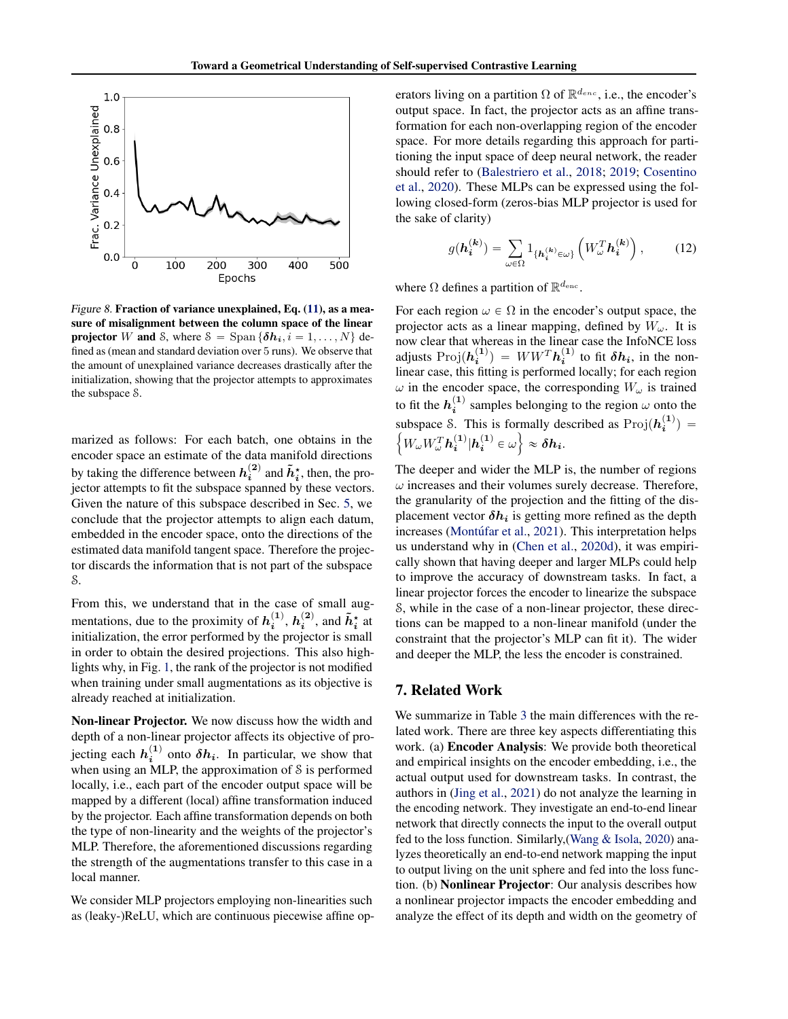

Figure 8. Fraction of variance unexplained, Eq. [\(11\)](#page-6-3), as a measure of misalignment between the column space of the linear **projector** W and S, where  $S = \text{Span} \{ \delta h_i, i = 1, ..., N \}$  defined as (mean and standard deviation over 5 runs). We observe that the amount of unexplained variance decreases drastically after the initialization, showing that the projector attempts to approximates the subspace S.

marized as follows: For each batch, one obtains in the encoder space an estimate of the data manifold directions by taking the difference between  $h_i^{(2)}$  and  $\tilde{h}_i^*$ , then, the projector attempts to fit the subspace spanned by these vectors. Given the nature of this subspace described in Sec. [5,](#page-5-0) we conclude that the projector attempts to align each datum, embedded in the encoder space, onto the directions of the estimated data manifold tangent space. Therefore the projector discards the information that is not part of the subspace S.

From this, we understand that in the case of small augmentations, due to the proximity of  $h_i^{(1)}$ ,  $h_i^{(2)}$ , and  $\tilde{h}_i^*$  at initialization, the error performed by the projector is small in order to obtain the desired projections. This also highlights why, in Fig. [1,](#page-0-0) the rank of the projector is not modified when training under small augmentations as its objective is already reached at initialization.

Non-linear Projector. We now discuss how the width and depth of a non-linear projector affects its objective of projecting each  $h_i^{(1)}$  onto  $\delta h_i$ . In particular, we show that when using an MLP, the approximation of S is performed locally, i.e., each part of the encoder output space will be mapped by a different (local) affine transformation induced by the projector. Each affine transformation depends on both the type of non-linearity and the weights of the projector's MLP. Therefore, the aforementioned discussions regarding the strength of the augmentations transfer to this case in a local manner.

We consider MLP projectors employing non-linearities such as (leaky-)ReLU, which are continuous piecewise affine op-

erators living on a partition  $\Omega$  of  $\mathbb{R}^{d_{enc}}$ , i.e., the encoder's output space. In fact, the projector acts as an affine transformation for each non-overlapping region of the encoder space. For more details regarding this approach for partitioning the input space of deep neural network, the reader should refer to [\(Balestriero et al.,](#page-8-6) [2018;](#page-8-6) [2019;](#page-8-7) [Cosentino](#page-9-13) [et al.,](#page-9-13) [2020\)](#page-9-13). These MLPs can be expressed using the following closed-form (zeros-bias MLP projector is used for the sake of clarity)

$$
g(\boldsymbol{h}_{i}^{(k)}) = \sum_{\omega \in \Omega} 1_{\{\boldsymbol{h}_{i}^{(k)} \in \omega\}} \left( W_{\omega}^{T} \boldsymbol{h}_{i}^{(k)} \right), \quad (12)
$$

<span id="page-7-0"></span>where  $\Omega$  defines a partition of  $\mathbb{R}^{d_{\text{enc}}}$ .

For each region  $\omega \in \Omega$  in the encoder's output space, the projector acts as a linear mapping, defined by  $W_{\omega}$ . It is now clear that whereas in the linear case the InfoNCE loss adjusts  $\text{Proj}(\boldsymbol{h^{(1)}_i}) = W W^T \boldsymbol{h^{(1)}_i}$  to fit  $\delta \boldsymbol{h_i}$ , in the nonlinear case, this fitting is performed locally; for each region  $\omega$  in the encoder space, the corresponding  $W_{\omega}$  is trained to fit the  $h_i^{(1)}$  samples belonging to the region  $\omega$  onto the subspace S. This is formally described as  $\text{Proj}(h_i^{(1)}) =$  $W_\omega W_\omega^T\boldsymbol{h^{(1)}_i}|\boldsymbol{h^{(1)}_i}\in\omega\Big\}\approx\boldsymbol{\delta h_i}.$ 

The deeper and wider the MLP is, the number of regions  $\omega$  increases and their volumes surely decrease. Therefore, the granularity of the projection and the fitting of the displacement vector  $\delta h_i$  is getting more refined as the depth increases (Montúfar et al., [2021\)](#page-10-9). This interpretation helps us understand why in [\(Chen et al.,](#page-9-14) [2020d\)](#page-9-14), it was empirically shown that having deeper and larger MLPs could help to improve the accuracy of downstream tasks. In fact, a linear projector forces the encoder to linearize the subspace S, while in the case of a non-linear projector, these directions can be mapped to a non-linear manifold (under the constraint that the projector's MLP can fit it). The wider and deeper the MLP, the less the encoder is constrained.

### 7. Related Work

We summarize in Table [3](#page-8-8) the main differences with the related work. There are three key aspects differentiating this work. (a) Encoder Analysis: We provide both theoretical and empirical insights on the encoder embedding, i.e., the actual output used for downstream tasks. In contrast, the authors in [\(Jing et al.,](#page-9-5) [2021\)](#page-9-5) do not analyze the learning in the encoding network. They investigate an end-to-end linear network that directly connects the input to the overall output fed to the loss function. Similarly,[\(Wang & Isola,](#page-10-10) [2020\)](#page-10-10) analyzes theoretically an end-to-end network mapping the input to output living on the unit sphere and fed into the loss function. (b) Nonlinear Projector: Our analysis describes how a nonlinear projector impacts the encoder embedding and analyze the effect of its depth and width on the geometry of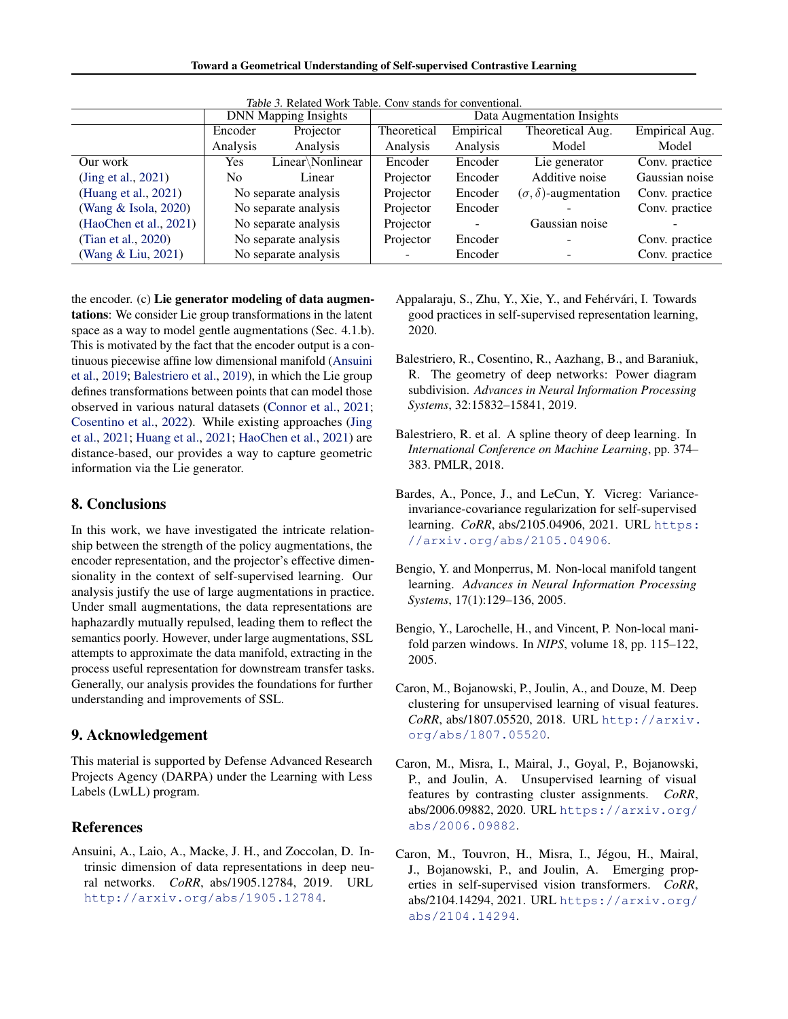Toward a Geometrical Understanding of Self-supervised Contrastive Learning

<span id="page-8-8"></span>

| <i>lable 3.</i> Related Work Table. Conv stands for conventional. |                             |                      |                            |           |                                  |                |  |  |  |
|-------------------------------------------------------------------|-----------------------------|----------------------|----------------------------|-----------|----------------------------------|----------------|--|--|--|
|                                                                   | <b>DNN Mapping Insights</b> |                      | Data Augmentation Insights |           |                                  |                |  |  |  |
|                                                                   | Encoder                     | Projector            | Theoretical                | Empirical | Theoretical Aug.                 | Empirical Aug. |  |  |  |
|                                                                   | Analysis                    | Analysis             | Analysis                   | Analysis  | Model                            | Model          |  |  |  |
| Our work                                                          | Yes                         | Linear \Nonlinear    | Encoder                    | Encoder   | Lie generator                    | Conv. practice |  |  |  |
| (Jing et al., 2021)                                               | No.                         | Linear               | Projector                  | Encoder   | Additive noise                   | Gaussian noise |  |  |  |
| (Huang et al., 2021)                                              | No separate analysis        |                      | Projector                  | Encoder   | $(\sigma, \delta)$ -augmentation | Conv. practice |  |  |  |
| (Wang & Isola, 2020)                                              | No separate analysis        |                      | Projector                  | Encoder   |                                  | Conv. practice |  |  |  |
| (HaoChen et al., 2021)                                            | No separate analysis        |                      | Projector                  |           | Gaussian noise                   |                |  |  |  |
| (Tian et al., 2020)                                               |                             | No separate analysis | Projector                  | Encoder   |                                  | Conv. practice |  |  |  |
| (Wang & Liu, 2021)                                                |                             | No separate analysis |                            | Encoder   |                                  | Conv. practice |  |  |  |

Table 3. Related Work Table. Conv stands for conventional.

the encoder. (c) Lie generator modeling of data augmentations: We consider Lie group transformations in the latent space as a way to model gentle augmentations (Sec. 4.1.b). This is motivated by the fact that the encoder output is a continuous piecewise affine low dimensional manifold [\(Ansuini](#page-8-9) [et al.,](#page-8-9) [2019;](#page-8-9) [Balestriero et al.,](#page-8-7) [2019\)](#page-8-7), in which the Lie group defines transformations between points that can model those observed in various natural datasets [\(Connor et al.,](#page-9-17) [2021;](#page-9-17) [Cosentino et al.,](#page-9-18) [2022\)](#page-9-18). While existing approaches [\(Jing](#page-9-5) [et al.,](#page-9-5) [2021;](#page-9-5) [Huang et al.,](#page-9-15) [2021;](#page-9-15) [HaoChen et al.,](#page-9-16) [2021\)](#page-9-16) are distance-based, our provides a way to capture geometric information via the Lie generator.

### 8. Conclusions

In this work, we have investigated the intricate relationship between the strength of the policy augmentations, the encoder representation, and the projector's effective dimensionality in the context of self-supervised learning. Our analysis justify the use of large augmentations in practice. Under small augmentations, the data representations are haphazardly mutually repulsed, leading them to reflect the semantics poorly. However, under large augmentations, SSL attempts to approximate the data manifold, extracting in the process useful representation for downstream transfer tasks. Generally, our analysis provides the foundations for further understanding and improvements of SSL.

### 9. Acknowledgement

This material is supported by Defense Advanced Research Projects Agency (DARPA) under the Learning with Less Labels (LwLL) program.

### References

<span id="page-8-9"></span>Ansuini, A., Laio, A., Macke, J. H., and Zoccolan, D. Intrinsic dimension of data representations in deep neural networks. *CoRR*, abs/1905.12784, 2019. URL <http://arxiv.org/abs/1905.12784>.

- <span id="page-8-3"></span>Appalaraju, S., Zhu, Y., Xie, Y., and Fehérvári, I. Towards good practices in self-supervised representation learning, 2020.
- <span id="page-8-7"></span>Balestriero, R., Cosentino, R., Aazhang, B., and Baraniuk, R. The geometry of deep networks: Power diagram subdivision. *Advances in Neural Information Processing Systems*, 32:15832–15841, 2019.
- <span id="page-8-6"></span>Balestriero, R. et al. A spline theory of deep learning. In *International Conference on Machine Learning*, pp. 374– 383. PMLR, 2018.
- <span id="page-8-1"></span>Bardes, A., Ponce, J., and LeCun, Y. Vicreg: Varianceinvariance-covariance regularization for self-supervised learning. *CoRR*, abs/2105.04906, 2021. URL [https:](https://arxiv.org/abs/2105.04906) [//arxiv.org/abs/2105.04906](https://arxiv.org/abs/2105.04906).
- <span id="page-8-4"></span>Bengio, Y. and Monperrus, M. Non-local manifold tangent learning. *Advances in Neural Information Processing Systems*, 17(1):129–136, 2005.
- <span id="page-8-5"></span>Bengio, Y., Larochelle, H., and Vincent, P. Non-local manifold parzen windows. In *NIPS*, volume 18, pp. 115–122, 2005.
- <span id="page-8-2"></span>Caron, M., Bojanowski, P., Joulin, A., and Douze, M. Deep clustering for unsupervised learning of visual features. *CoRR*, abs/1807.05520, 2018. URL [http://arxiv.](http://arxiv.org/abs/1807.05520) [org/abs/1807.05520](http://arxiv.org/abs/1807.05520).
- <span id="page-8-10"></span>Caron, M., Misra, I., Mairal, J., Goyal, P., Bojanowski, P., and Joulin, A. Unsupervised learning of visual features by contrasting cluster assignments. *CoRR*, abs/2006.09882, 2020. URL [https://arxiv.org/](https://arxiv.org/abs/2006.09882) [abs/2006.09882](https://arxiv.org/abs/2006.09882).
- <span id="page-8-0"></span>Caron, M., Touvron, H., Misra, I., Jégou, H., Mairal, J., Bojanowski, P., and Joulin, A. Emerging properties in self-supervised vision transformers. *CoRR*, abs/2104.14294, 2021. URL [https://arxiv.org/](https://arxiv.org/abs/2104.14294) [abs/2104.14294](https://arxiv.org/abs/2104.14294).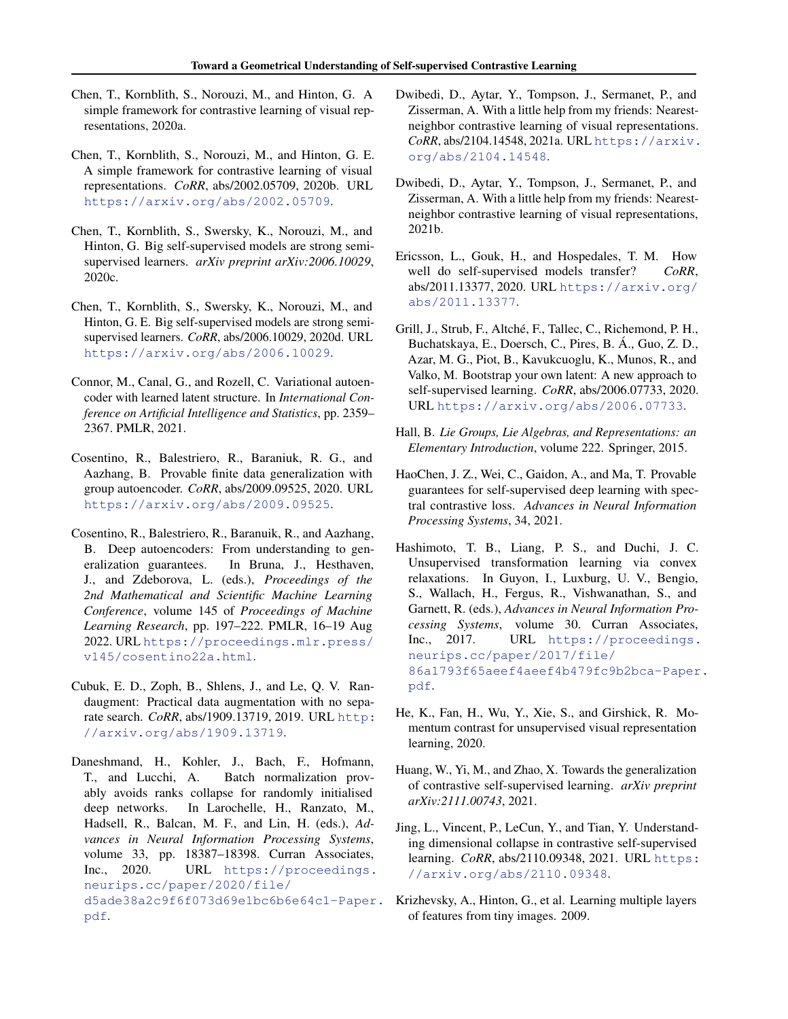- <span id="page-9-8"></span>Chen, T., Kornblith, S., Norouzi, M., and Hinton, G. A simple framework for contrastive learning of visual representations, 2020a.
- <span id="page-9-1"></span>Chen, T., Kornblith, S., Norouzi, M., and Hinton, G. E. A simple framework for contrastive learning of visual representations. *CoRR*, abs/2002.05709, 2020b. URL <https://arxiv.org/abs/2002.05709>.
- <span id="page-9-0"></span>Chen, T., Kornblith, S., Swersky, K., Norouzi, M., and Hinton, G. Big self-supervised models are strong semisupervised learners. *arXiv preprint arXiv:2006.10029*, 2020c.
- <span id="page-9-14"></span>Chen, T., Kornblith, S., Swersky, K., Norouzi, M., and Hinton, G. E. Big self-supervised models are strong semisupervised learners. *CoRR*, abs/2006.10029, 2020d. URL <https://arxiv.org/abs/2006.10029>.
- <span id="page-9-17"></span>Connor, M., Canal, G., and Rozell, C. Variational autoencoder with learned latent structure. In *International Conference on Artificial Intelligence and Statistics*, pp. 2359– 2367. PMLR, 2021.
- <span id="page-9-13"></span>Cosentino, R., Balestriero, R., Baraniuk, R. G., and Aazhang, B. Provable finite data generalization with group autoencoder. *CoRR*, abs/2009.09525, 2020. URL <https://arxiv.org/abs/2009.09525>.
- <span id="page-9-18"></span>Cosentino, R., Balestriero, R., Baranuik, R., and Aazhang, B. Deep autoencoders: From understanding to generalization guarantees. In Bruna, J., Hesthaven, J., and Zdeborova, L. (eds.), *Proceedings of the 2nd Mathematical and Scientific Machine Learning Conference*, volume 145 of *Proceedings of Machine Learning Research*, pp. 197–222. PMLR, 16–19 Aug 2022. URL [https://proceedings.mlr.press/](https://proceedings.mlr.press/v145/cosentino22a.html) [v145/cosentino22a.html](https://proceedings.mlr.press/v145/cosentino22a.html).
- <span id="page-9-6"></span>Cubuk, E. D., Zoph, B., Shlens, J., and Le, Q. V. Randaugment: Practical data augmentation with no separate search. *CoRR*, abs/1909.13719, 2019. URL [http:](http://arxiv.org/abs/1909.13719) [//arxiv.org/abs/1909.13719](http://arxiv.org/abs/1909.13719).
- <span id="page-9-11"></span>Daneshmand, H., Kohler, J., Bach, F., Hofmann, T., and Lucchi, A. Batch normalization provably avoids ranks collapse for randomly initialised deep networks. In Larochelle, H., Ranzato, M., Hadsell, R., Balcan, M. F., and Lin, H. (eds.), *Advances in Neural Information Processing Systems*, volume 33, pp. 18387–18398. Curran Associates, Inc., 2020. URL [https://proceedings.](https://proceedings.neurips.cc/paper/2020/file/d5ade38a2c9f6f073d69e1bc6b6e64c1-Paper.pdf) [neurips.cc/paper/2020/file/](https://proceedings.neurips.cc/paper/2020/file/d5ade38a2c9f6f073d69e1bc6b6e64c1-Paper.pdf) [d5ade38a2c9f6f073d69e1bc6b6e64c1-Paper](https://proceedings.neurips.cc/paper/2020/file/d5ade38a2c9f6f073d69e1bc6b6e64c1-Paper.pdf). [pdf](https://proceedings.neurips.cc/paper/2020/file/d5ade38a2c9f6f073d69e1bc6b6e64c1-Paper.pdf).
- <span id="page-9-3"></span>Dwibedi, D., Aytar, Y., Tompson, J., Sermanet, P., and Zisserman, A. With a little help from my friends: Nearestneighbor contrastive learning of visual representations. *CoRR*, abs/2104.14548, 2021a. URL [https://arxiv.](https://arxiv.org/abs/2104.14548) [org/abs/2104.14548](https://arxiv.org/abs/2104.14548).
- <span id="page-9-10"></span>Dwibedi, D., Aytar, Y., Tompson, J., Sermanet, P., and Zisserman, A. With a little help from my friends: Nearestneighbor contrastive learning of visual representations, 2021b.
- <span id="page-9-4"></span>Ericsson, L., Gouk, H., and Hospedales, T. M. How well do self-supervised models transfer? *CoRR*, abs/2011.13377, 2020. URL [https://arxiv.org/](https://arxiv.org/abs/2011.13377) [abs/2011.13377](https://arxiv.org/abs/2011.13377).
- <span id="page-9-2"></span>Grill, J., Strub, F., Altché, F., Tallec, C., Richemond, P. H., Buchatskaya, E., Doersch, C., Pires, B. A., Guo, Z. D., ´ Azar, M. G., Piot, B., Kavukcuoglu, K., Munos, R., and Valko, M. Bootstrap your own latent: A new approach to self-supervised learning. *CoRR*, abs/2006.07733, 2020. URL <https://arxiv.org/abs/2006.07733>.
- <span id="page-9-19"></span>Hall, B. *Lie Groups, Lie Algebras, and Representations: an Elementary Introduction*, volume 222. Springer, 2015.
- <span id="page-9-16"></span>HaoChen, J. Z., Wei, C., Gaidon, A., and Ma, T. Provable guarantees for self-supervised deep learning with spectral contrastive loss. *Advances in Neural Information Processing Systems*, 34, 2021.
- <span id="page-9-12"></span>Hashimoto, T. B., Liang, P. S., and Duchi, J. C. Unsupervised transformation learning via convex relaxations. In Guyon, I., Luxburg, U. V., Bengio, S., Wallach, H., Fergus, R., Vishwanathan, S., and Garnett, R. (eds.), *Advances in Neural Information Processing Systems*, volume 30. Curran Associates, Inc., 2017. URL [https://proceedings.](https://proceedings.neurips.cc/paper/2017/file/86a1793f65aeef4aeef4b479fc9b2bca-Paper.pdf) [neurips.cc/paper/2017/file/](https://proceedings.neurips.cc/paper/2017/file/86a1793f65aeef4aeef4b479fc9b2bca-Paper.pdf) [86a1793f65aeef4aeef4b479fc9b2bca-Paper](https://proceedings.neurips.cc/paper/2017/file/86a1793f65aeef4aeef4b479fc9b2bca-Paper.pdf). [pdf](https://proceedings.neurips.cc/paper/2017/file/86a1793f65aeef4aeef4b479fc9b2bca-Paper.pdf).
- <span id="page-9-9"></span>He, K., Fan, H., Wu, Y., Xie, S., and Girshick, R. Momentum contrast for unsupervised visual representation learning, 2020.
- <span id="page-9-15"></span>Huang, W., Yi, M., and Zhao, X. Towards the generalization of contrastive self-supervised learning. *arXiv preprint arXiv:2111.00743*, 2021.
- <span id="page-9-5"></span>Jing, L., Vincent, P., LeCun, Y., and Tian, Y. Understanding dimensional collapse in contrastive self-supervised learning. *CoRR*, abs/2110.09348, 2021. URL [https:](https://arxiv.org/abs/2110.09348) [//arxiv.org/abs/2110.09348](https://arxiv.org/abs/2110.09348).
- <span id="page-9-7"></span>Krizhevsky, A., Hinton, G., et al. Learning multiple layers of features from tiny images. 2009.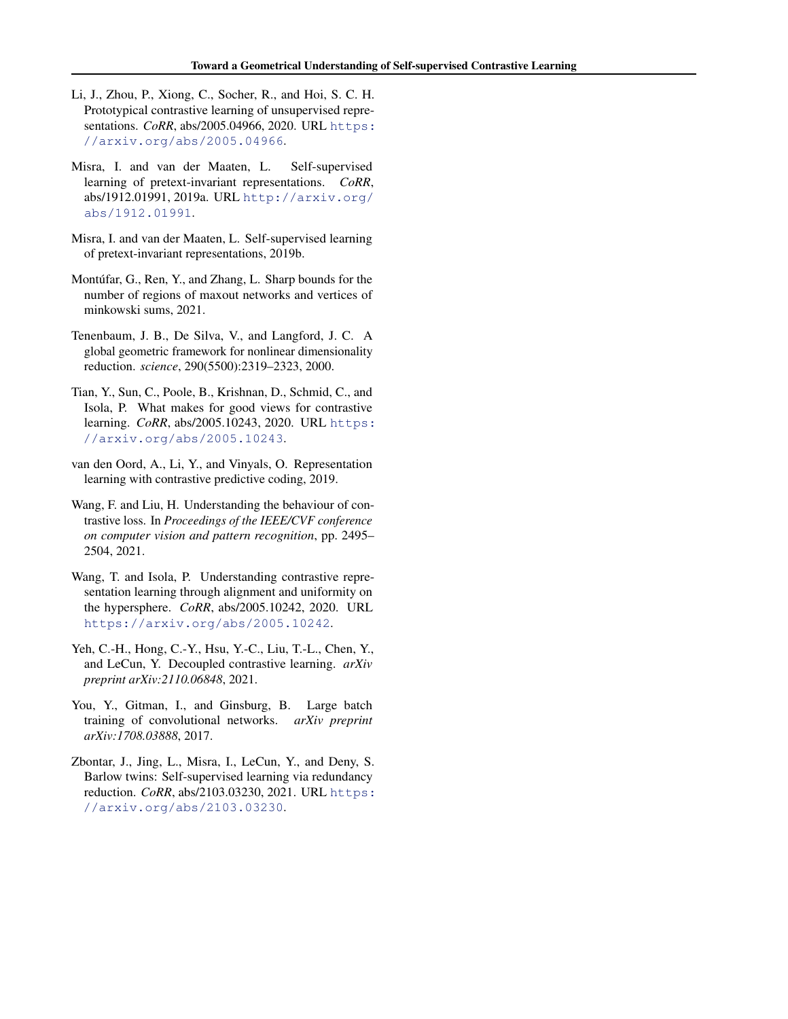- <span id="page-10-2"></span>Li, J., Zhou, P., Xiong, C., Socher, R., and Hoi, S. C. H. Prototypical contrastive learning of unsupervised representations. *CoRR*, abs/2005.04966, 2020. URL [https:](https://arxiv.org/abs/2005.04966) [//arxiv.org/abs/2005.04966](https://arxiv.org/abs/2005.04966).
- <span id="page-10-0"></span>Misra, I. and van der Maaten, L. Self-supervised learning of pretext-invariant representations. *CoRR*, abs/1912.01991, 2019a. URL [http://arxiv.org/](http://arxiv.org/abs/1912.01991) [abs/1912.01991](http://arxiv.org/abs/1912.01991).
- <span id="page-10-6"></span>Misra, I. and van der Maaten, L. Self-supervised learning of pretext-invariant representations, 2019b.
- <span id="page-10-9"></span>Montúfar, G., Ren, Y., and Zhang, L. Sharp bounds for the number of regions of maxout networks and vertices of minkowski sums, 2021.
- <span id="page-10-8"></span>Tenenbaum, J. B., De Silva, V., and Langford, J. C. A global geometric framework for nonlinear dimensionality reduction. *science*, 290(5500):2319–2323, 2000.
- <span id="page-10-3"></span>Tian, Y., Sun, C., Poole, B., Krishnan, D., Schmid, C., and Isola, P. What makes for good views for contrastive learning. *CoRR*, abs/2005.10243, 2020. URL [https:](https://arxiv.org/abs/2005.10243) [//arxiv.org/abs/2005.10243](https://arxiv.org/abs/2005.10243).
- <span id="page-10-4"></span>van den Oord, A., Li, Y., and Vinyals, O. Representation learning with contrastive predictive coding, 2019.
- <span id="page-10-11"></span>Wang, F. and Liu, H. Understanding the behaviour of contrastive loss. In *Proceedings of the IEEE/CVF conference on computer vision and pattern recognition*, pp. 2495– 2504, 2021.
- <span id="page-10-10"></span>Wang, T. and Isola, P. Understanding contrastive representation learning through alignment and uniformity on the hypersphere. *CoRR*, abs/2005.10242, 2020. URL <https://arxiv.org/abs/2005.10242>.
- <span id="page-10-7"></span>Yeh, C.-H., Hong, C.-Y., Hsu, Y.-C., Liu, T.-L., Chen, Y., and LeCun, Y. Decoupled contrastive learning. *arXiv preprint arXiv:2110.06848*, 2021.
- <span id="page-10-5"></span>You, Y., Gitman, I., and Ginsburg, B. Large batch training of convolutional networks. *arXiv preprint arXiv:1708.03888*, 2017.
- <span id="page-10-1"></span>Zbontar, J., Jing, L., Misra, I., LeCun, Y., and Deny, S. Barlow twins: Self-supervised learning via redundancy reduction. *CoRR*, abs/2103.03230, 2021. URL [https:](https://arxiv.org/abs/2103.03230) [//arxiv.org/abs/2103.03230](https://arxiv.org/abs/2103.03230).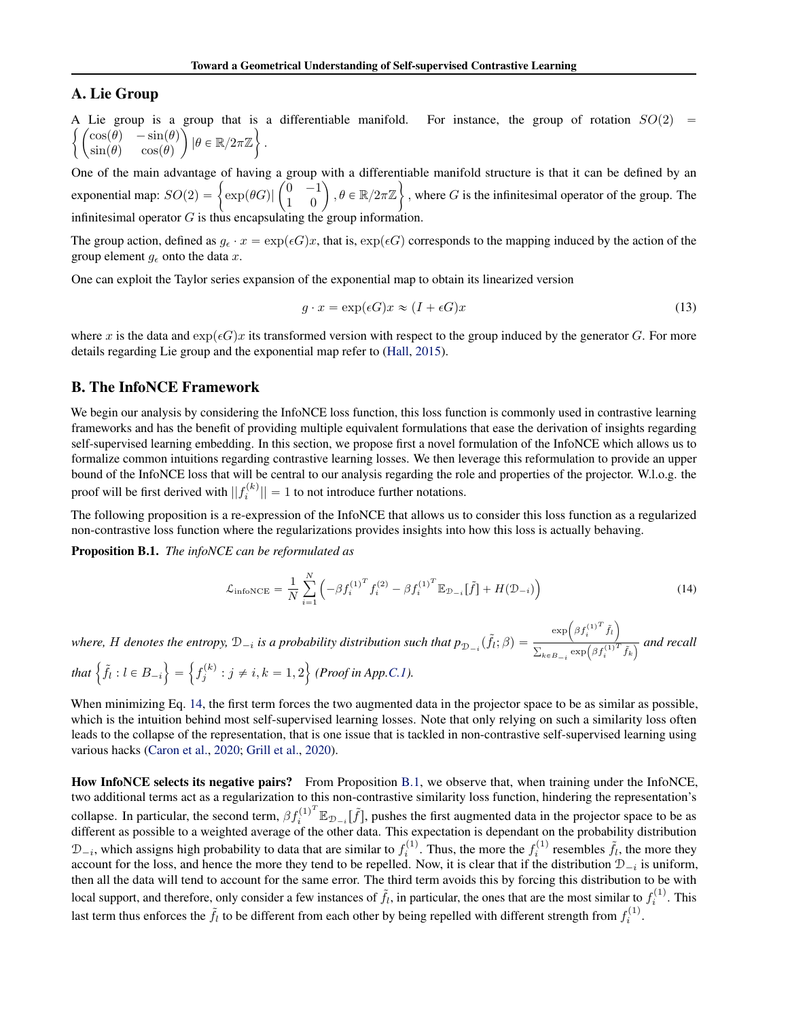### <span id="page-11-1"></span>A. Lie Group

A Lie group is a group that is a differentiable manifold. For instance, the group of rotation  $SO(2)$  =  $cos(\theta) - sin(\theta)$  $\begin{array}{ll} \cos(\theta) & -\sin(\theta) \\ \sin(\theta) & \cos(\theta) \end{array} \Big) \, |\theta \in \mathbb{R}/2\pi\mathbb{Z} \Big\} \, .$ 

One of the main advantage of having a group with a differentiable manifold structure is that it can be defined by an \* One of the main advantage of having a group<br>exponential map:  $SO(2) = \begin{cases} \exp(\theta G) & 0 \\ 1 & 0 \end{cases}$ group with a differentiable manifold structure is that it can be defined by an  $\begin{pmatrix} 0 & -1 \\ 1 & 0 \end{pmatrix}$ ,  $\theta \in \mathbb{R}/2\pi\mathbb{Z}$ , where G is the infinitesimal operator of the group. The infinitesimal operator  $G$  is thus encapsulating the group information.

The group action, defined as  $g_{\epsilon} \cdot x = \exp(\epsilon G)x$ , that is,  $\exp(\epsilon G)$  corresponds to the mapping induced by the action of the group element  $g_{\epsilon}$  onto the data x.

One can exploit the Taylor series expansion of the exponential map to obtain its linearized version

$$
g \cdot x = \exp(\epsilon G)x \approx (I + \epsilon G)x \tag{13}
$$

where x is the data and  $\exp(\epsilon G)x$  its transformed version with respect to the group induced by the generator G. For more details regarding Lie group and the exponential map refer to [\(Hall,](#page-9-19) [2015\)](#page-9-19).

#### <span id="page-11-0"></span>B. The InfoNCE Framework

We begin our analysis by considering the InfoNCE loss function, this loss function is commonly used in contrastive learning frameworks and has the benefit of providing multiple equivalent formulations that ease the derivation of insights regarding self-supervised learning embedding. In this section, we propose first a novel formulation of the InfoNCE which allows us to formalize common intuitions regarding contrastive learning losses. We then leverage this reformulation to provide an upper bound of the InfoNCE loss that will be central to our analysis regarding the role and properties of the projector. W.l.o.g. the proof will be first derived with  $||f_i^{(k)}|| = 1$  to not introduce further notations.

The following proposition is a re-expression of the InfoNCE that allows us to consider this loss function as a regularized non-contrastive loss function where the regularizations provides insights into how this loss is actually behaving.

<span id="page-11-3"></span>Proposition B.1. *The infoNCE can be reformulated as*

<span id="page-11-2"></span>
$$
\mathcal{L}_{\text{infoNCE}} = \frac{1}{N} \sum_{i=1}^{N} \left( -\beta f_i^{(1)^T} f_i^{(2)} - \beta f_i^{(1)^T} \mathbb{E}_{\mathcal{D}_{-i}}[\tilde{f}] + H(\mathcal{D}_{-i}) \right)
$$
(14)

where, *H* denotes the entropy,  $\mathcal{D}_{-i}$  is a probability distribution such that  $p_{\mathcal{D}_{-i}}(\tilde{f}_l;\beta)$  =  $\exp\left(\beta f_i^{(1)^T} \tilde{f}_l\right)$ ř  $\frac{\left(\mathcal{L}^T\right)^T}{k \in B_{-i}} \exp\left(\beta f_i^{(1)^T} \tilde{f}_k\right)}$  and recall that  $\left\{ \tilde{f}_l : l \in B_{-i} \right\}$  $=$ !<br>!  $f_j^{(k)}$ :  $j \neq i, k = 1, 2$  $\mathbf{r}$ *(Proof in App[.C.1\)](#page-12-1).*

When minimizing Eq. [14,](#page-11-2) the first term forces the two augmented data in the projector space to be as similar as possible, which is the intuition behind most self-supervised learning losses. Note that only relying on such a similarity loss often leads to the collapse of the representation, that is one issue that is tackled in non-contrastive self-supervised learning using various hacks [\(Caron et al.,](#page-8-10) [2020;](#page-8-10) [Grill et al.,](#page-9-2) [2020\)](#page-9-2).

How InfoNCE selects its negative pairs? From Proposition [B.1,](#page-11-3) we observe that, when training under the InfoNCE, two additional terms act as a regularization to this non-contrastive similarity loss function, hindering the representation's collapse. In particular, the second term,  $\beta f_i^{(1)^T} \mathbb{E}_{\mathcal{D}_{-i}}[\tilde{f}]$ , pushes the first augmented data in the projector space to be as different as possible to a weighted average of the other data. This expectation is dependant on the probability distribution  $\mathcal{D}_{-i}$ , which assigns high probability to data that are similar to  $f_i^{(1)}$ . Thus, the more the  $f_i^{(1)}$  resembles  $\tilde{f}_i$ , the more they account for the loss, and hence the more they tend to be repelled. Now, it is clear that if the distribution  $D_{-i}$  is uniform, then all the data will tend to account for the same error. The third term avoids this by forcing this distribution to be with local support, and therefore, only consider a few instances of  $\tilde{f}_l$ , in particular, the ones that are the most similar to  $f_i^{(1)}$ . This last term thus enforces the  $\tilde{f}_l$  to be different from each other by being repelled with different strength from  $f_i^{(1)}$ .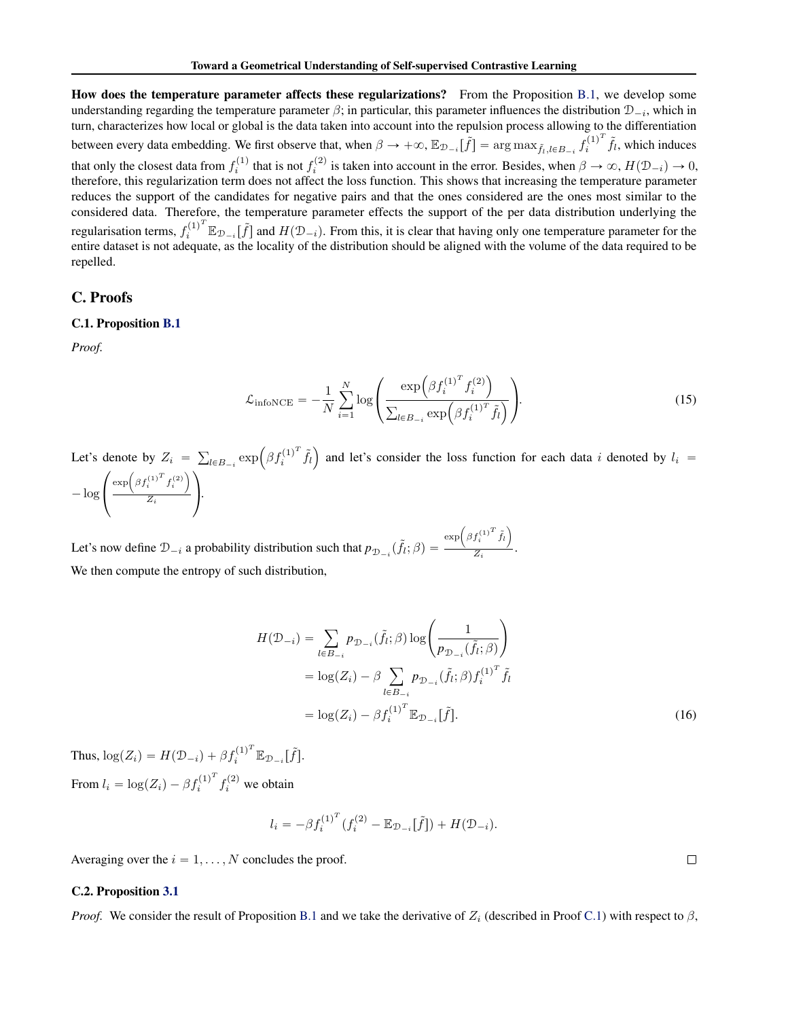How does the temperature parameter affects these regularizations? From the Proposition [B.1,](#page-11-3) we develop some understanding regarding the temperature parameter  $\beta$ ; in particular, this parameter influences the distribution  $\mathcal{D}_{-i}$ , which in turn, characterizes how local or global is the data taken into account into the repulsion process allowing to the differentiation between every data embedding. We first observe that, when  $\beta \to +\infty$ ,  $\mathbb{E}_{\mathcal{D}_{-i}}[\tilde{f}] = \arg \max_{\tilde{f}_l, l \in B_{-i}} f_i^{(1)^T}$  $\hat{f}_i^{(1)^T}$   $\tilde{f}_l$ , which induces that only the closest data from  $f_i^{(1)}$  that is not  $f_i^{(2)}$  is taken into account in the error. Besides, when  $\beta \to \infty$ ,  $H(\mathcal{D}_{-i}) \to 0$ , therefore, this regularization term does not affect the loss function. This shows that increasing the temperature parameter reduces the support of the candidates for negative pairs and that the ones considered are the ones most similar to the considered data. Therefore, the temperature parameter effects the support of the per data distribution underlying the regularisation terms,  $f_i^{(1)^T} \mathbb{E}_{\mathcal{D}_{-i}}[\tilde{f}]$  and  $H(\mathcal{D}_{-i})$ . From this, it is clear that having only one temperature parameter for the entire dataset is not adequate, as the locality of the distribution should be aligned with the volume of the data required to be repelled.

### <span id="page-12-1"></span>C. Proofs

#### C.1. Proposition [B.1](#page-11-3)

*Proof.*

$$
\mathcal{L}_{\text{infoNCE}} = -\frac{1}{N} \sum_{i=1}^{N} \log \left( \frac{\exp \left( \beta f_i^{(1)^T} f_i^{(2)} \right)}{\sum_{l \in B_{-i}} \exp \left( \beta f_i^{(1)^T} \tilde{f}_l \right)} \right).
$$
(15)

Let's denote by  $Z_i =$  $_{l\in B_{-i}}\exp\left(\beta f_{i}^{(1)^{T}}\right)$  $\tilde{j}_l^{(1)^I} \tilde{f}_l$ denote by  $Z_i = \sum_{l \in B_{-i}} \exp(\beta f_i^{(1)} f_l)$  and let's consider the loss function for each data i denoted by  $l_i =$  $-\log\left(\frac{\exp\left(\beta f_i^{(1)^T} f_i^{(2)}\right)}{Z_i}\right)$  $\frac{i}{Z_i}$  ).

Let's now define  $\mathcal{D}_{-i}$  a probability distribution such that  $p_{\mathcal{D}_{-i}}(\tilde{f}_i; \beta) =$  $\exp\left(\beta f_i^{(1)^T} \tilde{f}_l\right)$  $\frac{1}{Z_i}$ . We then compute the entropy of such distribution,

$$
H(\mathcal{D}_{-i}) = \sum_{l \in B_{-i}} p_{\mathcal{D}_{-i}}(\tilde{f}_l; \beta) \log \left( \frac{1}{p_{\mathcal{D}_{-i}}(\tilde{f}_l; \beta)} \right)
$$
  
=  $\log(Z_i) - \beta \sum_{l \in B_{-i}} p_{\mathcal{D}_{-i}}(\tilde{f}_l; \beta) f_i^{(1)^T} \tilde{f}_l$   
=  $\log(Z_i) - \beta f_i^{(1)^T} \mathbb{E}_{\mathcal{D}_{-i}}[\tilde{f}].$  (16)

Thus,  $\log(Z_i) = H(\mathcal{D}_{-i}) + \beta f_i^{(1)^T} \mathbb{E}_{\mathcal{D}_{-i}}[\tilde{f}].$ From  $l_i = \log(Z_i) - \beta f_i^{(1)^T}$  $f_i^{(1)^T} f_i^{(2)}$  we obtain

$$
l_i = -\beta f_i^{(1)^T} (f_i^{(2)} - \mathbb{E}_{\mathcal{D}_{-i}}[\tilde{f}]) + H(\mathcal{D}_{-i}).
$$

Averaging over the  $i = 1, \ldots, N$  concludes the proof.

#### <span id="page-12-0"></span>C.2. Proposition [3.1](#page-3-7)

*Proof.* We consider the result of Proposition [B.1](#page-11-3) and we take the derivative of  $Z_i$  (described in Proof [C.1\)](#page-12-1) with respect to  $\beta$ ,

 $\Box$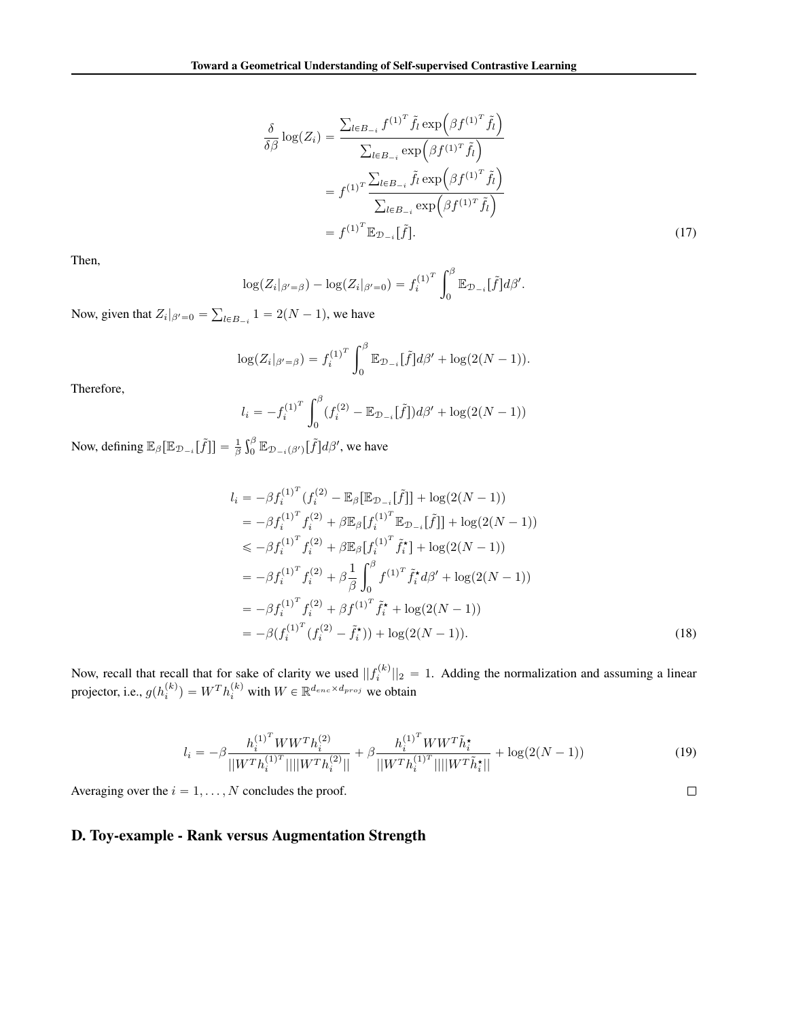$$
\frac{\delta}{\delta \beta} \log(Z_i) = \frac{\sum_{l \in B_{-i}} f^{(1)^T} \tilde{f}_l \exp\left(\beta f^{(1)^T} \tilde{f}_l\right)}{\sum_{l \in B_{-i}} \exp\left(\beta f^{(1)^T} \tilde{f}_l\right)}
$$

$$
= f^{(1)^T} \frac{\sum_{l \in B_{-i}} \tilde{f}_l \exp\left(\beta f^{(1)^T} \tilde{f}_l\right)}{\sum_{l \in B_{-i}} \exp\left(\beta f^{(1)^T} \tilde{f}_l\right)}
$$

$$
= f^{(1)^T} \mathbb{E}_{\mathcal{D}_{-i}}[\tilde{f}].
$$
(17)

Then,

$$
\log(Z_i|_{\beta'=\beta}) - \log(Z_i|_{\beta'=0}) = f_i^{(1)^T} \int_0^\beta \mathbb{E}_{\mathcal{D}_{-i}}[\tilde{f}] d\beta'.
$$

Now, given that  $Z_i|_{\beta'=0} =$  $_{l \in B_{-i}} 1 = 2(N - 1)$ , we have

$$
\log(Z_i|_{\beta'= \beta}) = f_i^{(1)^T} \int_0^{\beta} \mathbb{E}_{\mathcal{D}_{-i}}[\tilde{f}] d\beta' + \log(2(N-1)).
$$

Therefore,

$$
l_i = -f_i^{(1)^T} \int_0^\beta (f_i^{(2)} - \mathbb{E}_{\mathcal{D}_{-i}}[\tilde{f}]) d\beta' + \log(2(N-1))
$$

Now, defining  $\mathbb{E}_{\beta} [\mathbb{E}_{\mathcal{D}_{-i}}[\tilde{f}]] = \frac{1}{\beta}$  $\mathfrak{e}$  ${}^{\beta}_{0}\mathbb{E}_{\mathcal{D}_{-i}(\beta')}[\tilde{f}]d\beta',$  we have

$$
l_{i} = -\beta f_{i}^{(1)^{T}} (f_{i}^{(2)} - \mathbb{E}_{\beta} [\mathbb{E}_{\mathcal{D}_{-i}} [\tilde{f}]] + \log(2(N-1))
$$
  
\n
$$
= -\beta f_{i}^{(1)^{T}} f_{i}^{(2)} + \beta \mathbb{E}_{\beta} [f_{i}^{(1)^{T}} \mathbb{E}_{\mathcal{D}_{-i}} [\tilde{f}]] + \log(2(N-1))
$$
  
\n
$$
\leq -\beta f_{i}^{(1)^{T}} f_{i}^{(2)} + \beta \mathbb{E}_{\beta} [f_{i}^{(1)^{T}} \tilde{f}_{i}^{*}] + \log(2(N-1))
$$
  
\n
$$
= -\beta f_{i}^{(1)^{T}} f_{i}^{(2)} + \beta \frac{1}{\beta} \int_{0}^{\beta} f_{i}^{(1)^{T}} \tilde{f}_{i}^{*} d\beta' + \log(2(N-1))
$$
  
\n
$$
= -\beta f_{i}^{(1)^{T}} f_{i}^{(2)} + \beta f_{i}^{(1)^{T}} \tilde{f}_{i}^{*} + \log(2(N-1))
$$
  
\n
$$
= -\beta (f_{i}^{(1)^{T}} (f_{i}^{(2)} - \tilde{f}_{i}^{*})) + \log(2(N-1)).
$$
\n(18)

Now, recall that recall that for sake of clarity we used  $||f_i^{(k)}||_2 = 1$ . Adding the normalization and assuming a linear projector, i.e.,  $g(h_i^{(k)}) = W^T h_i^{(k)}$  with  $W \in \mathbb{R}^{d_{enc} \times d_{proj}}$  we obtain

$$
l_i = -\beta \frac{h_i^{(1)^T} W W^T h_i^{(2)}}{\left| |W^T h_i^{(1)^T}|| \right| |W^T h_i^{(2)}| \left|} + \beta \frac{h_i^{(1)^T} W W^T \tilde{h}_i^{\star}}{\left| |W^T h_i^{(1)^T}|| \right| |W^T \tilde{h}_i^{\star}| \left|} + \log(2(N-1))\right) \tag{19}
$$

 $\Box$ 

Averaging over the  $i = 1, \ldots, N$  concludes the proof.

# <span id="page-13-0"></span>D. Toy-example - Rank versus Augmentation Strength